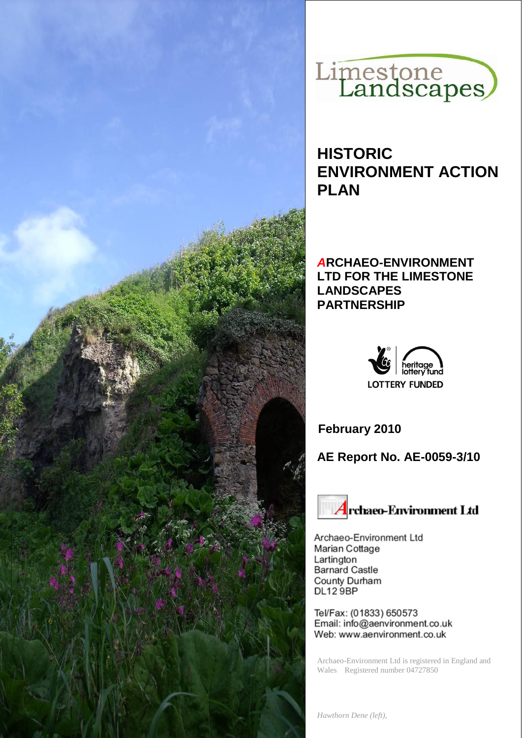



# **HISTORIC ENVIRONMENT ACTION PLAN**

### *A***RCHAEO-ENVIRONMENT LTD FOR THE LIMESTONE LANDSCAPES PARTNERSHIP**



**February 2010**

**AE Report No. AE-0059-3/10**



Archaeo-Environment Ltd Marian Cottage Lartington **Barnard Castle** County Durham **DL12 9BP** 

Tel/Fax: (01833) 650573 Email: info@aenvironment.co.uk Web: www.aenvironment.co.uk

Archaeo-Environment Ltd is registered in England and Wales Registered number 04727850

*Hawthorn Dene (left),*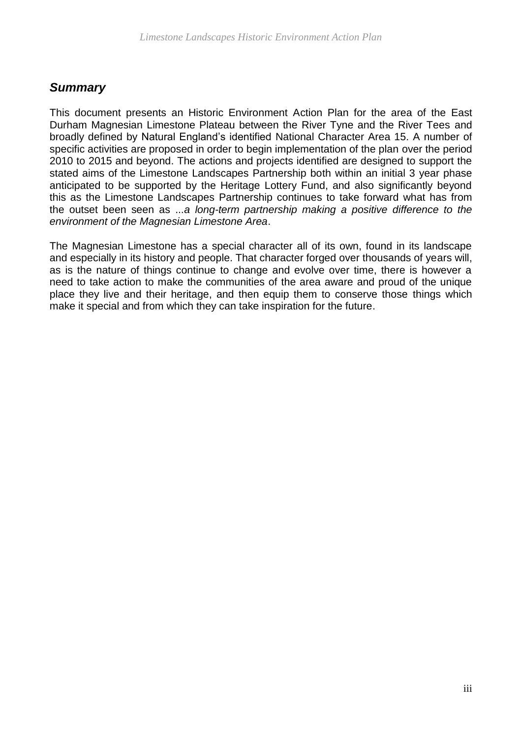## *Summary*

This document presents an Historic Environment Action Plan for the area of the East Durham Magnesian Limestone Plateau between the River Tyne and the River Tees and broadly defined by Natural England's identified National Character Area 15. A number of specific activities are proposed in order to begin implementation of the plan over the period 2010 to 2015 and beyond. The actions and projects identified are designed to support the stated aims of the Limestone Landscapes Partnership both within an initial 3 year phase anticipated to be supported by the Heritage Lottery Fund, and also significantly beyond this as the Limestone Landscapes Partnership continues to take forward what has from the outset been seen as ...*a long-term partnership making a positive difference to the environment of the Magnesian Limestone Area*.

The Magnesian Limestone has a special character all of its own, found in its landscape and especially in its history and people. That character forged over thousands of years will, as is the nature of things continue to change and evolve over time, there is however a need to take action to make the communities of the area aware and proud of the unique place they live and their heritage, and then equip them to conserve those things which make it special and from which they can take inspiration for the future.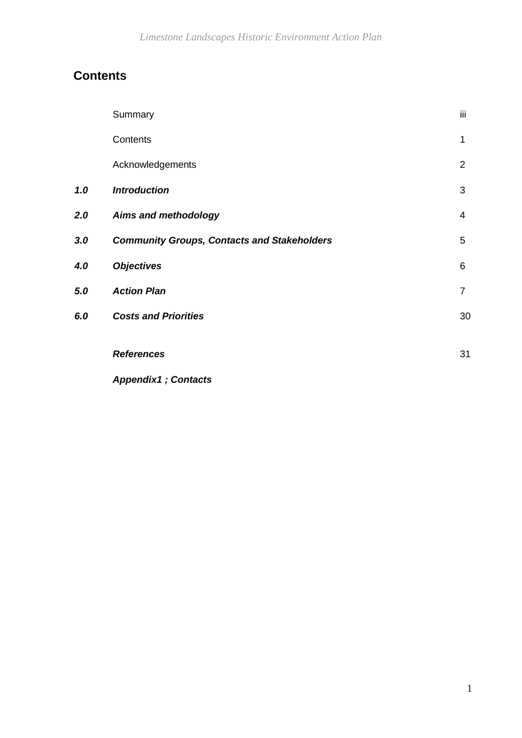## **Contents**

|     | Summary                                            | iii            |
|-----|----------------------------------------------------|----------------|
|     | Contents                                           | $\mathbf 1$    |
|     | Acknowledgements                                   | 2              |
| 1.0 | <b>Introduction</b>                                | 3              |
| 2.0 | <b>Aims and methodology</b>                        | $\overline{4}$ |
| 3.0 | <b>Community Groups, Contacts and Stakeholders</b> | 5              |
| 4.0 | <b>Objectives</b>                                  | 6              |
| 5.0 | <b>Action Plan</b>                                 | 7              |
| 6.0 | <b>Costs and Priorities</b>                        | 30             |
|     | <b>References</b>                                  | 31             |
|     | <b>Appendix1</b> ; Contacts                        |                |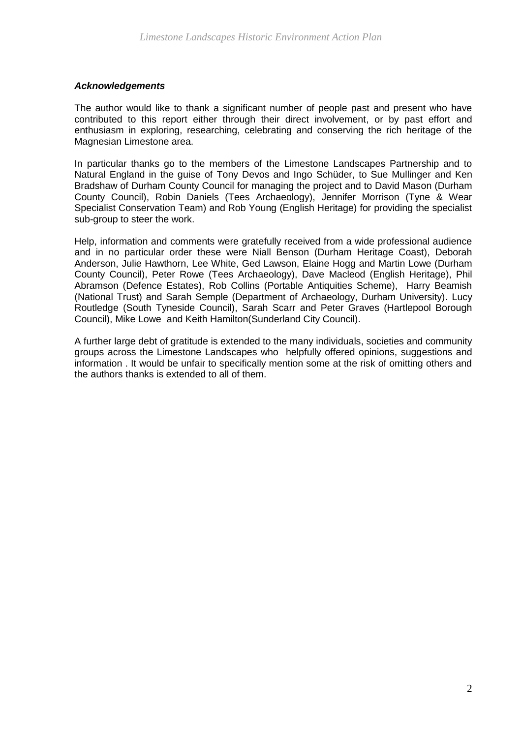#### *Acknowledgements*

The author would like to thank a significant number of people past and present who have contributed to this report either through their direct involvement, or by past effort and enthusiasm in exploring, researching, celebrating and conserving the rich heritage of the Magnesian Limestone area.

In particular thanks go to the members of the Limestone Landscapes Partnership and to Natural England in the guise of Tony Devos and Ingo Schüder, to Sue Mullinger and Ken Bradshaw of Durham County Council for managing the project and to David Mason (Durham County Council), Robin Daniels (Tees Archaeology), Jennifer Morrison (Tyne & Wear Specialist Conservation Team) and Rob Young (English Heritage) for providing the specialist sub-group to steer the work.

Help, information and comments were gratefully received from a wide professional audience and in no particular order these were Niall Benson (Durham Heritage Coast), Deborah Anderson, Julie Hawthorn, Lee White, Ged Lawson, Elaine Hogg and Martin Lowe (Durham County Council), Peter Rowe (Tees Archaeology), Dave Macleod (English Heritage), Phil Abramson (Defence Estates), Rob Collins (Portable Antiquities Scheme), Harry Beamish (National Trust) and Sarah Semple (Department of Archaeology, Durham University). Lucy Routledge (South Tyneside Council), Sarah Scarr and Peter Graves (Hartlepool Borough Council), Mike Lowe and Keith Hamilton(Sunderland City Council).

A further large debt of gratitude is extended to the many individuals, societies and community groups across the Limestone Landscapes who helpfully offered opinions, suggestions and information . It would be unfair to specifically mention some at the risk of omitting others and the authors thanks is extended to all of them.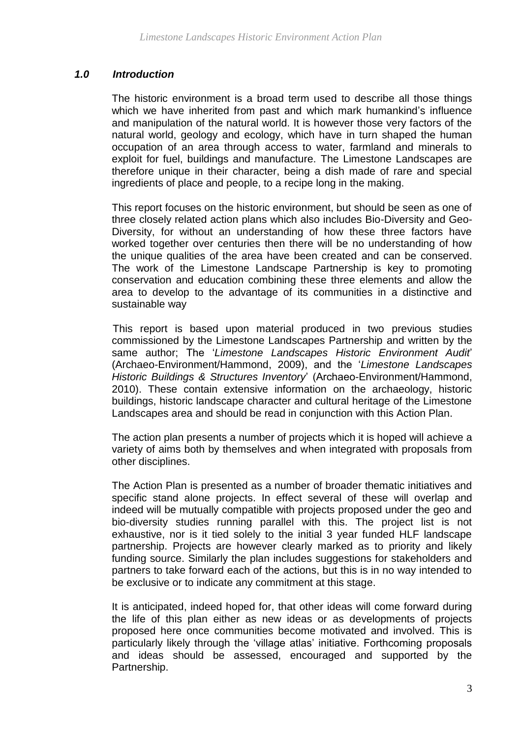#### *1.0 Introduction*

The historic environment is a broad term used to describe all those things which we have inherited from past and which mark humankind's influence and manipulation of the natural world. It is however those very factors of the natural world, geology and ecology, which have in turn shaped the human occupation of an area through access to water, farmland and minerals to exploit for fuel, buildings and manufacture. The Limestone Landscapes are therefore unique in their character, being a dish made of rare and special ingredients of place and people, to a recipe long in the making.

This report focuses on the historic environment, but should be seen as one of three closely related action plans which also includes Bio-Diversity and Geo-Diversity, for without an understanding of how these three factors have worked together over centuries then there will be no understanding of how the unique qualities of the area have been created and can be conserved. The work of the Limestone Landscape Partnership is key to promoting conservation and education combining these three elements and allow the area to develop to the advantage of its communities in a distinctive and sustainable way

This report is based upon material produced in two previous studies commissioned by the Limestone Landscapes Partnership and written by the same author; The '*Limestone Landscapes Historic Environment Audit*' (Archaeo-Environment/Hammond, 2009), and the '*Limestone Landscapes Historic Buildings & Structures Inventory*' (Archaeo-Environment/Hammond, 2010). These contain extensive information on the archaeology, historic buildings, historic landscape character and cultural heritage of the Limestone Landscapes area and should be read in conjunction with this Action Plan.

The action plan presents a number of projects which it is hoped will achieve a variety of aims both by themselves and when integrated with proposals from other disciplines.

The Action Plan is presented as a number of broader thematic initiatives and specific stand alone projects. In effect several of these will overlap and indeed will be mutually compatible with projects proposed under the geo and bio-diversity studies running parallel with this. The project list is not exhaustive, nor is it tied solely to the initial 3 year funded HLF landscape partnership. Projects are however clearly marked as to priority and likely funding source. Similarly the plan includes suggestions for stakeholders and partners to take forward each of the actions, but this is in no way intended to be exclusive or to indicate any commitment at this stage.

It is anticipated, indeed hoped for, that other ideas will come forward during the life of this plan either as new ideas or as developments of projects proposed here once communities become motivated and involved. This is particularly likely through the 'village atlas' initiative. Forthcoming proposals and ideas should be assessed, encouraged and supported by the Partnership.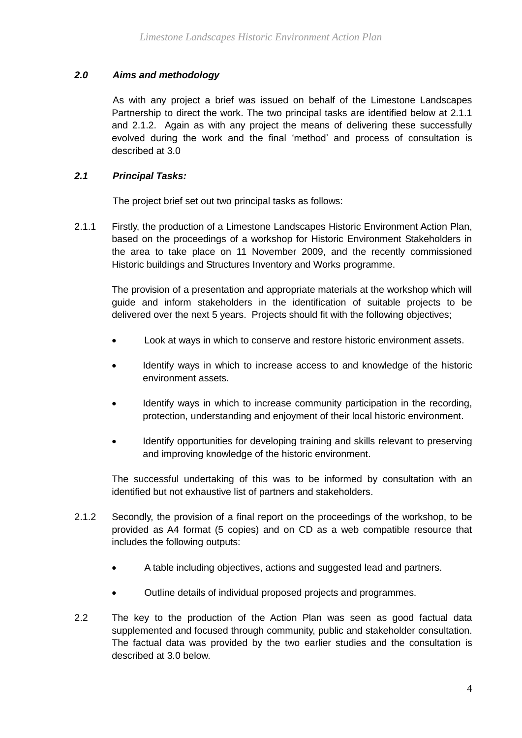#### *2.0 Aims and methodology*

As with any project a brief was issued on behalf of the Limestone Landscapes Partnership to direct the work. The two principal tasks are identified below at 2.1.1 and 2.1.2. Again as with any project the means of delivering these successfully evolved during the work and the final 'method' and process of consultation is described at 3.0

#### *2.1 Principal Tasks:*

The project brief set out two principal tasks as follows:

2.1.1 Firstly, the production of a Limestone Landscapes Historic Environment Action Plan, based on the proceedings of a workshop for Historic Environment Stakeholders in the area to take place on 11 November 2009, and the recently commissioned Historic buildings and Structures Inventory and Works programme.

The provision of a presentation and appropriate materials at the workshop which will guide and inform stakeholders in the identification of suitable projects to be delivered over the next 5 years. Projects should fit with the following objectives;

- Look at ways in which to conserve and restore historic environment assets.
- Identify ways in which to increase access to and knowledge of the historic environment assets.
- Identify ways in which to increase community participation in the recording, protection, understanding and enjoyment of their local historic environment.
- Identify opportunities for developing training and skills relevant to preserving and improving knowledge of the historic environment.

The successful undertaking of this was to be informed by consultation with an identified but not exhaustive list of partners and stakeholders.

- 2.1.2 Secondly, the provision of a final report on the proceedings of the workshop, to be provided as A4 format (5 copies) and on CD as a web compatible resource that includes the following outputs:
	- A table including objectives, actions and suggested lead and partners.
	- Outline details of individual proposed projects and programmes.
- 2.2 The key to the production of the Action Plan was seen as good factual data supplemented and focused through community, public and stakeholder consultation. The factual data was provided by the two earlier studies and the consultation is described at 3.0 below.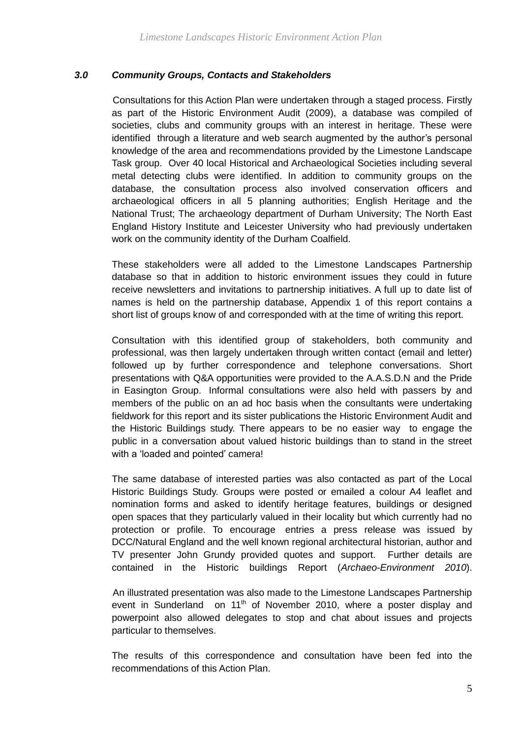#### *3.0 Community Groups, Contacts and Stakeholders*

Consultations for this Action Plan were undertaken through a staged process. Firstly as part of the Historic Environment Audit (2009), a database was compiled of societies, clubs and community groups with an interest in heritage. These were identified through a literature and web search augmented by the author's personal knowledge of the area and recommendations provided by the Limestone Landscape Task group. Over 40 local Historical and Archaeological Societies including several metal detecting clubs were identified. In addition to community groups on the database, the consultation process also involved conservation officers and archaeological officers in all 5 planning authorities; English Heritage and the National Trust; The archaeology department of Durham University; The North East England History Institute and Leicester University who had previously undertaken work on the community identity of the Durham Coalfield.

These stakeholders were all added to the Limestone Landscapes Partnership database so that in addition to historic environment issues they could in future receive newsletters and invitations to partnership initiatives. A full up to date list of names is held on the partnership database, Appendix 1 of this report contains a short list of groups know of and corresponded with at the time of writing this report.

Consultation with this identified group of stakeholders, both community and professional, was then largely undertaken through written contact (email and letter) followed up by further correspondence and telephone conversations. Short presentations with Q&A opportunities were provided to the A.A.S.D.N and the Pride in Easington Group. Informal consultations were also held with passers by and members of the public on an ad hoc basis when the consultants were undertaking fieldwork for this report and its sister publications the Historic Environment Audit and the Historic Buildings study. There appears to be no easier way to engage the public in a conversation about valued historic buildings than to stand in the street with a 'loaded and pointed' camera!

The same database of interested parties was also contacted as part of the Local Historic Buildings Study. Groups were posted or emailed a colour A4 leaflet and nomination forms and asked to identify heritage features, buildings or designed open spaces that they particularly valued in their locality but which currently had no protection or profile. To encourage entries a press release was issued by DCC/Natural England and the well known regional architectural historian, author and TV presenter John Grundy provided quotes and support. Further details are contained in the Historic buildings Report (*Archaeo-Environment 2010*).

An illustrated presentation was also made to the Limestone Landscapes Partnership event in Sunderland on 11<sup>th</sup> of November 2010, where a poster display and powerpoint also allowed delegates to stop and chat about issues and projects particular to themselves.

The results of this correspondence and consultation have been fed into the recommendations of this Action Plan.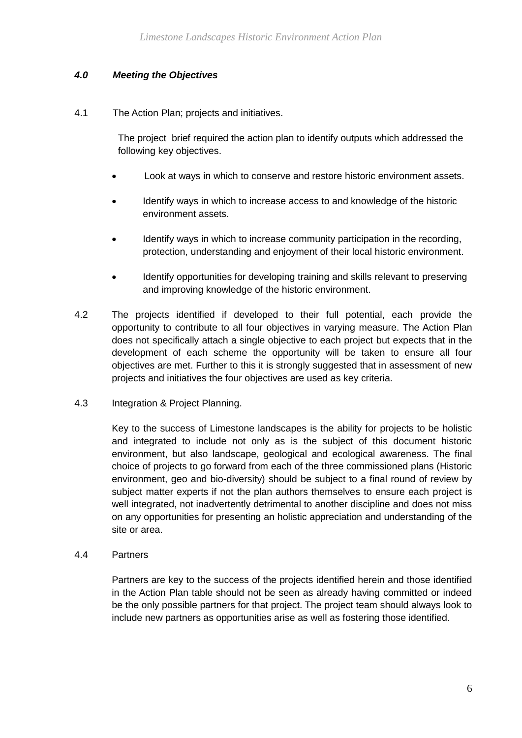#### *4.0 Meeting the Objectives*

4.1 The Action Plan; projects and initiatives.

The project brief required the action plan to identify outputs which addressed the following key objectives.

- Look at ways in which to conserve and restore historic environment assets.
- Identify ways in which to increase access to and knowledge of the historic environment assets.
- Identify ways in which to increase community participation in the recording, protection, understanding and enjoyment of their local historic environment.
- Identify opportunities for developing training and skills relevant to preserving and improving knowledge of the historic environment.
- 4.2 The projects identified if developed to their full potential, each provide the opportunity to contribute to all four objectives in varying measure. The Action Plan does not specifically attach a single objective to each project but expects that in the development of each scheme the opportunity will be taken to ensure all four objectives are met. Further to this it is strongly suggested that in assessment of new projects and initiatives the four objectives are used as key criteria.
- 4.3 Integration & Project Planning.

Key to the success of Limestone landscapes is the ability for projects to be holistic and integrated to include not only as is the subject of this document historic environment, but also landscape, geological and ecological awareness. The final choice of projects to go forward from each of the three commissioned plans (Historic environment, geo and bio-diversity) should be subject to a final round of review by subject matter experts if not the plan authors themselves to ensure each project is well integrated, not inadvertently detrimental to another discipline and does not miss on any opportunities for presenting an holistic appreciation and understanding of the site or area.

4.4 Partners

Partners are key to the success of the projects identified herein and those identified in the Action Plan table should not be seen as already having committed or indeed be the only possible partners for that project. The project team should always look to include new partners as opportunities arise as well as fostering those identified.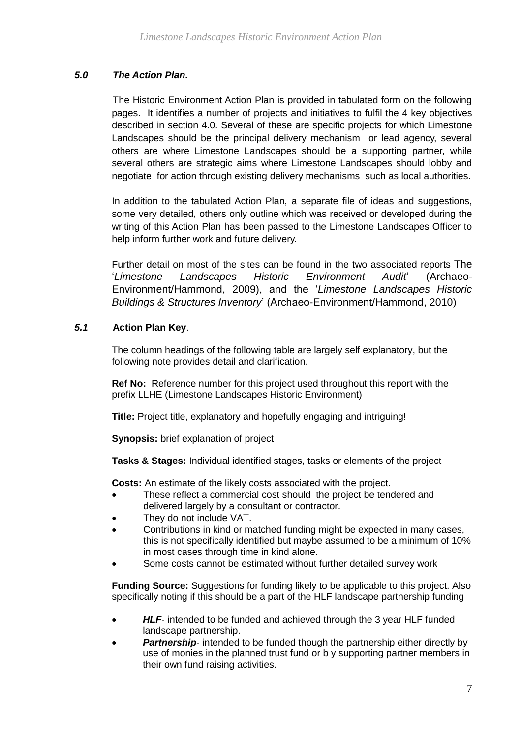#### *5.0 The Action Plan.*

The Historic Environment Action Plan is provided in tabulated form on the following pages. It identifies a number of projects and initiatives to fulfil the 4 key objectives described in section 4.0. Several of these are specific projects for which Limestone Landscapes should be the principal delivery mechanism or lead agency, several others are where Limestone Landscapes should be a supporting partner, while several others are strategic aims where Limestone Landscapes should lobby and negotiate for action through existing delivery mechanisms such as local authorities.

In addition to the tabulated Action Plan, a separate file of ideas and suggestions, some very detailed, others only outline which was received or developed during the writing of this Action Plan has been passed to the Limestone Landscapes Officer to help inform further work and future delivery.

Further detail on most of the sites can be found in the two associated reports The '*Limestone Landscapes Historic Environment Audit*' (Archaeo-Environment/Hammond, 2009), and the '*Limestone Landscapes Historic Buildings & Structures Inventory*' (Archaeo-Environment/Hammond, 2010)

#### *5.1* **Action Plan Key**.

The column headings of the following table are largely self explanatory, but the following note provides detail and clarification.

**Ref No:** Reference number for this project used throughout this report with the prefix LLHE (Limestone Landscapes Historic Environment)

**Title:** Project title, explanatory and hopefully engaging and intriguing!

**Synopsis:** brief explanation of project

**Tasks & Stages:** Individual identified stages, tasks or elements of the project

**Costs:** An estimate of the likely costs associated with the project.

- These reflect a commercial cost should the project be tendered and delivered largely by a consultant or contractor.
- They do not include VAT.
- Contributions in kind or matched funding might be expected in many cases, this is not specifically identified but maybe assumed to be a minimum of 10% in most cases through time in kind alone.
- Some costs cannot be estimated without further detailed survey work

**Funding Source:** Suggestions for funding likely to be applicable to this project. Also specifically noting if this should be a part of the HLF landscape partnership funding

- *HLF* intended to be funded and achieved through the 3 year HLF funded landscape partnership.
- **Partnership-** intended to be funded though the partnership either directly by use of monies in the planned trust fund or b y supporting partner members in their own fund raising activities.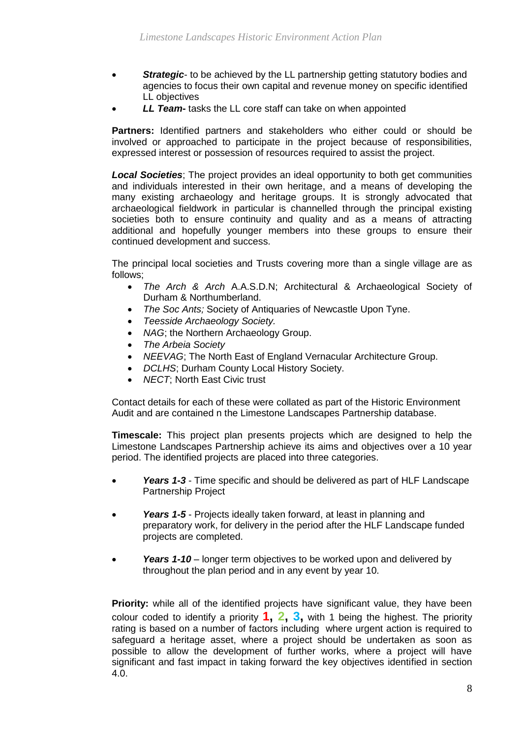- **Strategic-** to be achieved by the LL partnership getting statutory bodies and agencies to focus their own capital and revenue money on specific identified LL objectives
- *LL Team***-** tasks the LL core staff can take on when appointed

**Partners:** Identified partners and stakeholders who either could or should be involved or approached to participate in the project because of responsibilities, expressed interest or possession of resources required to assist the project.

*Local Societies*; The project provides an ideal opportunity to both get communities and individuals interested in their own heritage, and a means of developing the many existing archaeology and heritage groups. It is strongly advocated that archaeological fieldwork in particular is channelled through the principal existing societies both to ensure continuity and quality and as a means of attracting additional and hopefully younger members into these groups to ensure their continued development and success.

The principal local societies and Trusts covering more than a single village are as follows;

- *The Arch & Arch* A.A.S.D.N; Architectural & Archaeological Society of Durham & Northumberland.
- *The Soc Ants;* Society of Antiquaries of Newcastle Upon Tyne.
- *Teesside Archaeology Society.*
- NAG; the Northern Archaeology Group.
- *The Arbeia Society*
- *NEEVAG*; The North East of England Vernacular Architecture Group.
- *DCLHS*; Durham County Local History Society.
- *NECT*; North East Civic trust

Contact details for each of these were collated as part of the Historic Environment Audit and are contained n the Limestone Landscapes Partnership database.

**Timescale:** This project plan presents projects which are designed to help the Limestone Landscapes Partnership achieve its aims and objectives over a 10 year period. The identified projects are placed into three categories.

- *Years 1-3*  Time specific and should be delivered as part of HLF Landscape Partnership Project
- *Years 1-5* Projects ideally taken forward, at least in planning and preparatory work, for delivery in the period after the HLF Landscape funded projects are completed.
- *Years 1-10*  longer term objectives to be worked upon and delivered by throughout the plan period and in any event by year 10.

**Priority:** while all of the identified projects have significant value, they have been colour coded to identify a priority **1, 2, 3,** with 1 being the highest. The priority rating is based on a number of factors including where urgent action is required to safeguard a heritage asset, where a project should be undertaken as soon as possible to allow the development of further works, where a project will have significant and fast impact in taking forward the key objectives identified in section 4.0.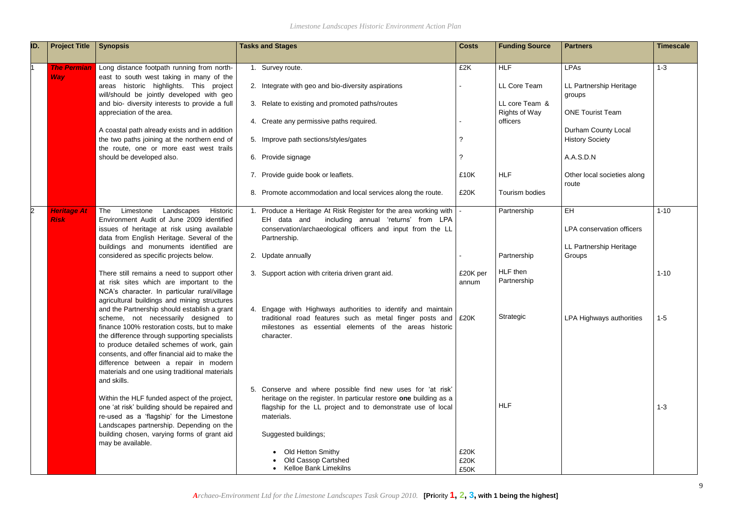*Limestone Landscapes Historic Environment Action Plan*

| ID. | <b>Project Title</b>              | <b>Synopsis</b>                                                                                                                                                                                                                                                                                                                                                                            | <b>Tasks and Stages</b>                                                                                                                                                                                            | <b>Costs</b>         | <b>Funding Source</b>            | <b>Partners</b>                                      | <b>Timescale</b> |
|-----|-----------------------------------|--------------------------------------------------------------------------------------------------------------------------------------------------------------------------------------------------------------------------------------------------------------------------------------------------------------------------------------------------------------------------------------------|--------------------------------------------------------------------------------------------------------------------------------------------------------------------------------------------------------------------|----------------------|----------------------------------|------------------------------------------------------|------------------|
|     | <b>The Permian</b>                | Long distance footpath running from north-                                                                                                                                                                                                                                                                                                                                                 | 1. Survey route.                                                                                                                                                                                                   | £2K                  | <b>HLF</b>                       | <b>LPAs</b>                                          | $1 - 3$          |
|     | <b>Way</b>                        | east to south west taking in many of the<br>areas historic highlights. This project<br>will/should be jointly developed with geo<br>and bio- diversity interests to provide a full                                                                                                                                                                                                         | 2. Integrate with geo and bio-diversity aspirations<br>3. Relate to existing and promoted paths/routes                                                                                                             |                      | LL Core Team<br>LL core Team &   | LL Partnership Heritage<br>groups                    |                  |
|     |                                   | appreciation of the area.                                                                                                                                                                                                                                                                                                                                                                  | 4. Create any permissive paths required.                                                                                                                                                                           |                      | <b>Rights of Way</b><br>officers | <b>ONE Tourist Team</b>                              |                  |
|     |                                   | A coastal path already exists and in addition<br>the two paths joining at the northern end of<br>the route, one or more east west trails                                                                                                                                                                                                                                                   | 5. Improve path sections/styles/gates                                                                                                                                                                              |                      |                                  | <b>Durham County Local</b><br><b>History Society</b> |                  |
|     |                                   | should be developed also.                                                                                                                                                                                                                                                                                                                                                                  | 6. Provide signage                                                                                                                                                                                                 |                      |                                  | A.A.S.D.N                                            |                  |
|     |                                   |                                                                                                                                                                                                                                                                                                                                                                                            | 7. Provide guide book or leaflets.                                                                                                                                                                                 | £10K                 | <b>HLF</b>                       | Other local societies along<br>route                 |                  |
|     |                                   |                                                                                                                                                                                                                                                                                                                                                                                            | 8. Promote accommodation and local services along the route.                                                                                                                                                       | £20K                 | Tourism bodies                   |                                                      |                  |
|     | <b>Heritage At</b><br><b>Risk</b> | The<br>Limestone<br>Historic<br>Landscapes<br>Environment Audit of June 2009 identified                                                                                                                                                                                                                                                                                                    | Produce a Heritage At Risk Register for the area working with  <br>EH data and including annual 'returns' from LPA                                                                                                 |                      | Partnership                      | EH                                                   | $1 - 10$         |
|     |                                   | issues of heritage at risk using available<br>data from English Heritage. Several of the                                                                                                                                                                                                                                                                                                   | conservation/archaeological officers and input from the LL<br>Partnership.                                                                                                                                         |                      |                                  | <b>LPA conservation officers</b>                     |                  |
|     |                                   | buildings and monuments identified are<br>considered as specific projects below.                                                                                                                                                                                                                                                                                                           | 2. Update annually                                                                                                                                                                                                 |                      | Partnership                      | LL Partnership Heritage<br>Groups                    |                  |
|     |                                   | There still remains a need to support other<br>at risk sites which are important to the<br>NCA's character. In particular rural/village<br>agricultural buildings and mining structures                                                                                                                                                                                                    | 3. Support action with criteria driven grant aid.                                                                                                                                                                  | £20K per<br>annum    | HLF then<br>Partnership          |                                                      | $1 - 10$         |
|     |                                   | and the Partnership should establish a grant<br>scheme, not necessarily designed to<br>finance 100% restoration costs, but to make<br>the difference through supporting specialists<br>to produce detailed schemes of work, gain<br>consents, and offer financial aid to make the<br>difference between a repair in modern<br>materials and one using traditional materials<br>and skills. | 4. Engage with Highways authorities to identify and maintain<br>traditional road features such as metal finger posts and $\frac{20K}{500}$<br>milestones as essential elements of the areas historic<br>character. |                      | Strategic                        | LPA Highways authorities                             | $1 - 5$          |
|     |                                   | Within the HLF funded aspect of the project,<br>one 'at risk' building should be repaired and<br>re-used as a 'flagship' for the Limestone<br>Landscapes partnership. Depending on the                                                                                                                                                                                                     | 5. Conserve and where possible find new uses for 'at risk'<br>heritage on the register. In particular restore one building as a<br>flagship for the LL project and to demonstrate use of local<br>materials.       |                      | <b>HLF</b>                       |                                                      | $1 - 3$          |
|     |                                   | building chosen, varying forms of grant aid<br>may be available.                                                                                                                                                                                                                                                                                                                           | Suggested buildings;                                                                                                                                                                                               |                      |                                  |                                                      |                  |
|     |                                   |                                                                                                                                                                                                                                                                                                                                                                                            | Old Hetton Smithy<br><b>Old Cassop Cartshed</b><br><b>Kelloe Bank Limekilns</b>                                                                                                                                    | £20K<br>£20K<br>£50K |                                  |                                                      |                  |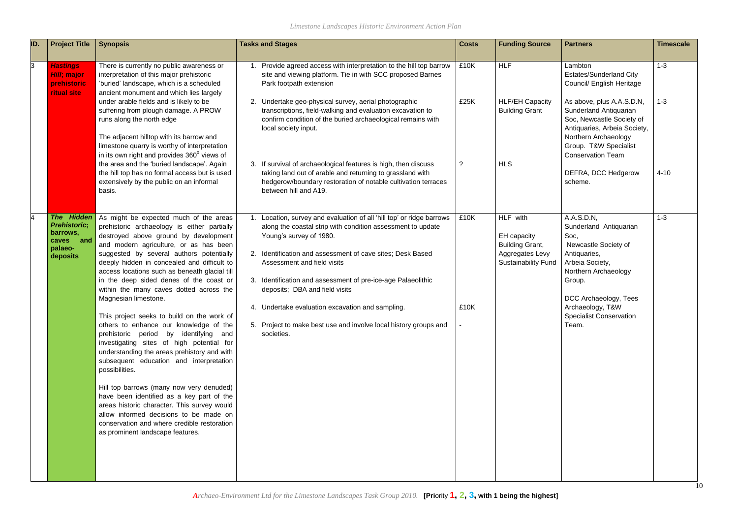| ID. | <b>Project Title</b>                                                                                  | <b>Synopsis</b>                                                                                                                                                                                                                                                                                                                                                                                                                                                                                                                                                                                                                                                                                                                                                                                                                                                                                                                                                                                   | <b>Tasks and Stages</b>                                                                                                                                                                                                                                                                                                                                                                                                                                                                              | <b>Costs</b> | <b>Funding Source</b>                                                                              | <b>Partners</b>                                                                                                                                                                                                                   | <b>Timescale</b> |
|-----|-------------------------------------------------------------------------------------------------------|---------------------------------------------------------------------------------------------------------------------------------------------------------------------------------------------------------------------------------------------------------------------------------------------------------------------------------------------------------------------------------------------------------------------------------------------------------------------------------------------------------------------------------------------------------------------------------------------------------------------------------------------------------------------------------------------------------------------------------------------------------------------------------------------------------------------------------------------------------------------------------------------------------------------------------------------------------------------------------------------------|------------------------------------------------------------------------------------------------------------------------------------------------------------------------------------------------------------------------------------------------------------------------------------------------------------------------------------------------------------------------------------------------------------------------------------------------------------------------------------------------------|--------------|----------------------------------------------------------------------------------------------------|-----------------------------------------------------------------------------------------------------------------------------------------------------------------------------------------------------------------------------------|------------------|
| 3   | <b>Hastings</b><br>Hill; major<br>prehistoric<br><b>ritual site</b>                                   | There is currently no public awareness or<br>interpretation of this major prehistoric<br>'buried' landscape, which is a scheduled<br>ancient monument and which lies largely                                                                                                                                                                                                                                                                                                                                                                                                                                                                                                                                                                                                                                                                                                                                                                                                                      | Provide agreed access with interpretation to the hill top barrow<br>site and viewing platform. Tie in with SCC proposed Barnes<br>Park footpath extension                                                                                                                                                                                                                                                                                                                                            | £10K         | <b>HLF</b>                                                                                         | Lambton<br><b>Estates/Sunderland City</b><br>Council/ English Heritage                                                                                                                                                            | $1 - 3$          |
|     |                                                                                                       | under arable fields and is likely to be<br>suffering from plough damage. A PROW<br>runs along the north edge<br>The adjacent hilltop with its barrow and<br>limestone quarry is worthy of interpretation<br>in its own right and provides $360^{\circ}$ views of                                                                                                                                                                                                                                                                                                                                                                                                                                                                                                                                                                                                                                                                                                                                  | 2. Undertake geo-physical survey, aerial photographic<br>transcriptions, field-walking and evaluation excavation to<br>confirm condition of the buried archaeological remains with<br>local society input.                                                                                                                                                                                                                                                                                           | £25K         | <b>HLF/EH Capacity</b><br><b>Building Grant</b>                                                    | As above, plus A.A.S.D.N,<br>Sunderland Antiquarian<br>Soc, Newcastle Society of<br>Antiquaries, Arbeia Society,<br>Northern Archaeology<br>Group. T&W Specialist<br><b>Conservation Team</b>                                     | $1 - 3$          |
|     |                                                                                                       | the area and the 'buried landscape'. Again<br>the hill top has no formal access but is used<br>extensively by the public on an informal<br>basis.                                                                                                                                                                                                                                                                                                                                                                                                                                                                                                                                                                                                                                                                                                                                                                                                                                                 | 3. If survival of archaeological features is high, then discuss<br>taking land out of arable and returning to grassland with<br>hedgerow/boundary restoration of notable cultivation terraces<br>between hill and A19.                                                                                                                                                                                                                                                                               |              | <b>HLS</b>                                                                                         | DEFRA, DCC Hedgerow<br>scheme.                                                                                                                                                                                                    | $4 - 10$         |
|     | <b>Hidden</b><br><b>The</b><br><b>Prehistoric;</b><br>barrows,<br>and<br>caves<br>palaeo-<br>deposits | As might be expected much of the areas<br>prehistoric archaeology is either partially<br>destroyed above ground by development<br>and modern agriculture, or as has been<br>suggested by several authors potentially<br>deeply hidden in concealed and difficult to<br>access locations such as beneath glacial till<br>in the deep sided denes of the coast or<br>within the many caves dotted across the<br>Magnesian limestone.<br>This project seeks to build on the work of<br>others to enhance our knowledge of the<br>prehistoric period by identifying and<br>investigating sites of high potential for<br>understanding the areas prehistory and with<br>subsequent education and interpretation<br>possibilities.<br>Hill top barrows (many now very denuded)<br>have been identified as a key part of the<br>areas historic character. This survey would<br>allow informed decisions to be made on<br>conservation and where credible restoration<br>as prominent landscape features. | 1. Location, survey and evaluation of all 'hill top' or ridge barrows<br>along the coastal strip with condition assessment to update<br>Young's survey of 1980.<br>2. Identification and assessment of cave sites; Desk Based<br>Assessment and field visits<br>3. Identification and assessment of pre-ice-age Palaeolithic<br>deposits; DBA and field visits<br>4. Undertake evaluation excavation and sampling.<br>5. Project to make best use and involve local history groups and<br>societies. | £10K<br>£10K | HLF with<br>EH capacity<br><b>Building Grant,</b><br>Aggregates Levy<br><b>Sustainability Fund</b> | A.A.S.D.N.<br>Sunderland Antiquarian<br>Soc,<br>Newcastle Society of<br>Antiquaries,<br>Arbeia Society,<br>Northern Archaeology<br>Group.<br>DCC Archaeology, Tees<br>Archaeology, T&W<br><b>Specialist Conservation</b><br>Team. | $1 - 3$          |

| <b>Partners</b>                                                                                                                                                                               | <b>Timescale</b> |
|-----------------------------------------------------------------------------------------------------------------------------------------------------------------------------------------------|------------------|
| Lambton<br><b>Estates/Sunderland City</b><br>Council/ English Heritage                                                                                                                        | $1 - 3$          |
| As above, plus A.A.S.D.N,<br>Sunderland Antiquarian<br>Soc, Newcastle Society of<br>Antiquaries, Arbeia Society,<br>Northern Archaeology<br>Group. T&W Specialist<br><b>Conservation Team</b> | $1 - 3$          |
| DEFRA, DCC Hedgerow<br>scheme.                                                                                                                                                                | $4 - 10$         |
| A.A.S.D.N.<br>Sunderland Antiquarian<br>Soc,<br>Newcastle Society of<br>Antiquaries,<br>Arbeia Society,<br>Northern Archaeology<br>Group.                                                     | $1 - 3$          |
| DCC Archaeology, Tees<br>Archaeology, T&W<br><b>Specialist Conservation</b><br>Team.                                                                                                          |                  |
|                                                                                                                                                                                               |                  |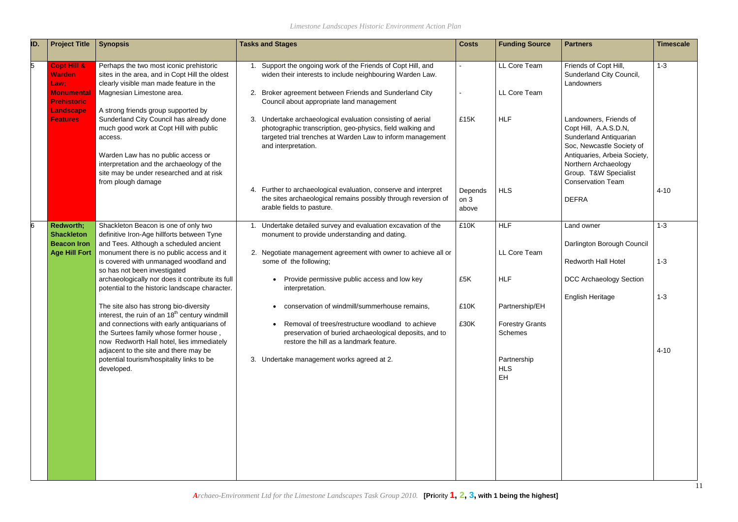| ID. | <b>Project Title</b>                                                                       | <b>Synopsis</b>                                                                                                                                                                                                                                                                            | <b>Tasks and Stages</b>                                                                                                                                                                                                                                                                                                                                                          | <b>Costs</b>                                | <b>Funding Source</b>                               | <b>Partners</b>                                                                                                                                                                                                                     | <b>Timescale</b>   |
|-----|--------------------------------------------------------------------------------------------|--------------------------------------------------------------------------------------------------------------------------------------------------------------------------------------------------------------------------------------------------------------------------------------------|----------------------------------------------------------------------------------------------------------------------------------------------------------------------------------------------------------------------------------------------------------------------------------------------------------------------------------------------------------------------------------|---------------------------------------------|-----------------------------------------------------|-------------------------------------------------------------------------------------------------------------------------------------------------------------------------------------------------------------------------------------|--------------------|
|     | <b>Copt Hill &amp;</b><br><b>Warden</b><br>Law;<br><b>Monumental</b><br><b>Prehistoric</b> | Perhaps the two most iconic prehistoric<br>sites in the area, and in Copt Hill the oldest<br>clearly visible man made feature in the<br>Magnesian Limestone area.                                                                                                                          | Support the ongoing work of the Friends of Copt Hill, and<br>widen their interests to include neighbouring Warden Law.<br>2. Broker agreement between Friends and Sunderland City<br>Council about appropriate land management                                                                                                                                                   |                                             | LL Core Team<br>LL Core Team                        | Friends of Copt Hill,<br>Sunderland City Council,<br>Landowners                                                                                                                                                                     | $1 - 3$            |
|     | <b>Landscape</b><br><b>Features</b>                                                        | A strong friends group supported by<br>Sunderland City Council has already done<br>much good work at Copt Hill with public<br>access.<br>Warden Law has no public access or<br>interpretation and the archaeology of the<br>site may be under researched and at risk<br>from plough damage | 3. Undertake archaeological evaluation consisting of aerial<br>photographic transcription, geo-physics, field walking and<br>targeted trial trenches at Warden Law to inform management<br>and interpretation.<br>4. Further to archaeological evaluation, conserve and interpret<br>the sites archaeological remains possibly through reversion of<br>arable fields to pasture. | £15K<br>Depends<br>on <sub>3</sub><br>above | <b>HLF</b><br><b>HLS</b>                            | Landowners, Friends of<br>Copt Hill, A.A.S.D.N,<br>Sunderland Antiquarian<br>Soc, Newcastle Society of<br>Antiquaries, Arbeia Society,<br>Northern Archaeology<br>Group. T&W Specialist<br><b>Conservation Team</b><br><b>DEFRA</b> | $4 - 10$           |
| 6   | <b>Redworth;</b><br><b>Shackleton</b><br><b>Beacon Iron</b><br><b>Age Hill Fort</b>        | Shackleton Beacon is one of only two<br>definitive Iron-Age hillforts between Tyne<br>and Tees. Although a scheduled ancient<br>monument there is no public access and it<br>is covered with unmanaged woodland and                                                                        | Undertake detailed survey and evaluation excavation of the<br>monument to provide understanding and dating.<br>2. Negotiate management agreement with owner to achieve all or<br>some of the following;                                                                                                                                                                          | £10K                                        | <b>HLF</b><br>LL Core Team                          | Land owner<br>Darlington Borough Council<br><b>Redworth Hall Hotel</b>                                                                                                                                                              | $1 - 3$<br>$1 - 3$ |
|     |                                                                                            | so has not been investigated<br>archaeologically nor does it contribute its full<br>potential to the historic landscape character.                                                                                                                                                         | Provide permissive public access and low key<br>interpretation.                                                                                                                                                                                                                                                                                                                  | £5K                                         | <b>HLF</b>                                          | DCC Archaeology Section<br><b>English Heritage</b>                                                                                                                                                                                  | $1 - 3$            |
|     |                                                                                            | The site also has strong bio-diversity<br>interest, the ruin of an 18 <sup>th</sup> century windmill<br>and connections with early antiquarians of<br>the Surtees family whose former house,<br>now Redworth Hall hotel, lies immediately<br>adjacent to the site and there may be         | conservation of windmill/summerhouse remains,<br>Removal of trees/restructure woodland to achieve<br>preservation of buried archaeological deposits, and to<br>restore the hill as a landmark feature.                                                                                                                                                                           | £10K<br>£30K                                | Partnership/EH<br><b>Forestry Grants</b><br>Schemes |                                                                                                                                                                                                                                     | $4 - 10$           |
|     |                                                                                            | potential tourism/hospitality links to be<br>developed.                                                                                                                                                                                                                                    | 3. Undertake management works agreed at 2.                                                                                                                                                                                                                                                                                                                                       |                                             | Partnership<br><b>HLS</b><br>EH                     |                                                                                                                                                                                                                                     |                    |
|     |                                                                                            |                                                                                                                                                                                                                                                                                            |                                                                                                                                                                                                                                                                                                                                                                                  |                                             |                                                     |                                                                                                                                                                                                                                     |                    |
|     |                                                                                            |                                                                                                                                                                                                                                                                                            |                                                                                                                                                                                                                                                                                                                                                                                  |                                             |                                                     |                                                                                                                                                                                                                                     |                    |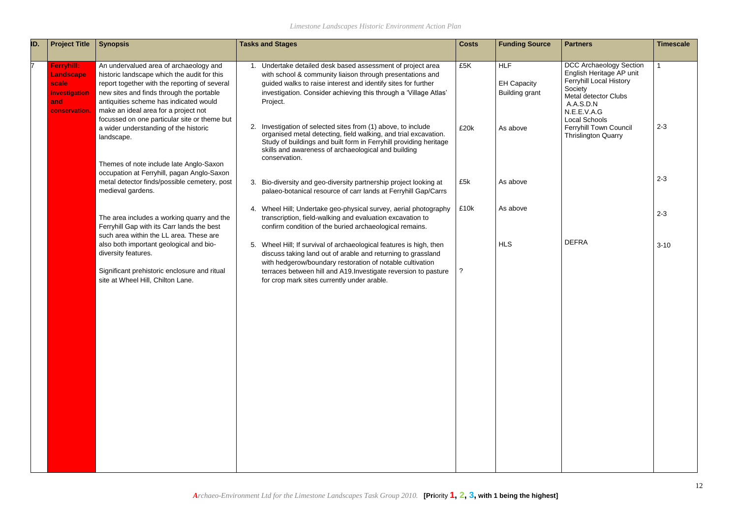| ID. | <b>Project Title</b>                                                      | <b>Synopsis</b>                                                                                                                                                                                                                                                                                                      | <b>Tasks and Stages</b>                                                                                                                                                                                                                                                       | <b>Costs</b> | <b>Funding Source</b>                                     | <b>Partners</b>                                                                                                                                                                     | <b>Timescale</b> |
|-----|---------------------------------------------------------------------------|----------------------------------------------------------------------------------------------------------------------------------------------------------------------------------------------------------------------------------------------------------------------------------------------------------------------|-------------------------------------------------------------------------------------------------------------------------------------------------------------------------------------------------------------------------------------------------------------------------------|--------------|-----------------------------------------------------------|-------------------------------------------------------------------------------------------------------------------------------------------------------------------------------------|------------------|
|     | Ferryhill:<br>Landscape<br>scale<br>investigation<br>and<br>conservation. | An undervalued area of archaeology and<br>historic landscape which the audit for this<br>report together with the reporting of several<br>new sites and finds through the portable<br>antiquities scheme has indicated would<br>make an ideal area for a project not<br>focussed on one particular site or theme but | Undertake detailed desk based assessment of project area<br>with school & community liaison through presentations and<br>guided walks to raise interest and identify sites for further<br>investigation. Consider achieving this through a 'Village Atlas'<br>Project.        | £5K          | <b>HLF</b><br><b>EH Capacity</b><br><b>Building grant</b> | <b>DCC Archaeology Section</b><br>English Heritage AP unit<br><b>Ferryhill Local History</b><br>Society<br><b>Metal detector Clubs</b><br>A.A.S.D.N<br>N.E.E.V.A.G<br>Local Schools |                  |
|     |                                                                           | a wider understanding of the historic<br>landscape.<br>Themes of note include late Anglo-Saxon                                                                                                                                                                                                                       | 2. Investigation of selected sites from (1) above, to include<br>organised metal detecting, field walking, and trial excavation.<br>Study of buildings and built form in Ferryhill providing heritage<br>skills and awareness of archaeological and building<br>conservation. | £20k         | As above                                                  | <b>Ferryhill Town Council</b><br><b>Thrislington Quarry</b>                                                                                                                         | $2 - 3$          |
|     |                                                                           | occupation at Ferryhill, pagan Anglo-Saxon<br>metal detector finds/possible cemetery, post<br>medieval gardens.                                                                                                                                                                                                      | 3. Bio-diversity and geo-diversity partnership project looking at<br>palaeo-botanical resource of carr lands at Ferryhill Gap/Carrs                                                                                                                                           | £5k          | As above                                                  |                                                                                                                                                                                     | $2 - 3$          |
|     |                                                                           | The area includes a working quarry and the<br>Ferryhill Gap with its Carr lands the best<br>such area within the LL area. These are                                                                                                                                                                                  | 4. Wheel Hill; Undertake geo-physical survey, aerial photography<br>transcription, field-walking and evaluation excavation to<br>confirm condition of the buried archaeological remains.                                                                                      | £10k         | As above                                                  |                                                                                                                                                                                     | $2 - 3$          |
|     |                                                                           | also both important geological and bio-<br>diversity features.<br>Significant prehistoric enclosure and ritual                                                                                                                                                                                                       | 5. Wheel Hill; If survival of archaeological features is high, then<br>discuss taking land out of arable and returning to grassland<br>with hedgerow/boundary restoration of notable cultivation<br>terraces between hill and A19. Investigate reversion to pasture           |              | <b>HLS</b>                                                | <b>DEFRA</b>                                                                                                                                                                        | $3 - 10$         |
|     |                                                                           | site at Wheel Hill, Chilton Lane.                                                                                                                                                                                                                                                                                    | for crop mark sites currently under arable.                                                                                                                                                                                                                                   |              |                                                           |                                                                                                                                                                                     |                  |
|     |                                                                           |                                                                                                                                                                                                                                                                                                                      |                                                                                                                                                                                                                                                                               |              |                                                           |                                                                                                                                                                                     |                  |
|     |                                                                           |                                                                                                                                                                                                                                                                                                                      |                                                                                                                                                                                                                                                                               |              |                                                           |                                                                                                                                                                                     |                  |
|     |                                                                           |                                                                                                                                                                                                                                                                                                                      |                                                                                                                                                                                                                                                                               |              |                                                           |                                                                                                                                                                                     |                  |
|     |                                                                           |                                                                                                                                                                                                                                                                                                                      |                                                                                                                                                                                                                                                                               |              |                                                           |                                                                                                                                                                                     |                  |
|     |                                                                           |                                                                                                                                                                                                                                                                                                                      |                                                                                                                                                                                                                                                                               |              |                                                           |                                                                                                                                                                                     |                  |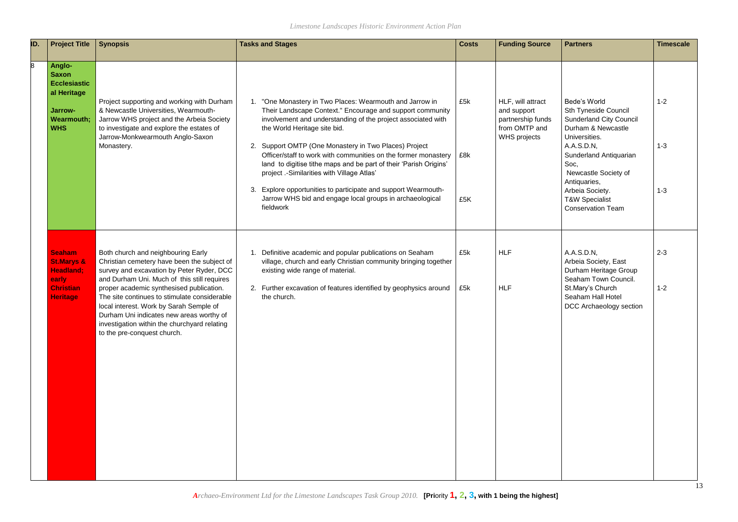| ID. | <b>Project Title</b>                                                                                              | <b>Synopsis</b>                                                                                                                                                                                                                                                                                                                                                                                                                                 | <b>Tasks and Stages</b>                                                                                                                                                                                                                                                                                                                                                                                                                                                                                                                                                                                         | <b>Costs</b>      | <b>Funding Source</b>                                                                         | <b>Partners</b>                                                                                                                                                                                                                                                                   | <b>Timescale</b>              |
|-----|-------------------------------------------------------------------------------------------------------------------|-------------------------------------------------------------------------------------------------------------------------------------------------------------------------------------------------------------------------------------------------------------------------------------------------------------------------------------------------------------------------------------------------------------------------------------------------|-----------------------------------------------------------------------------------------------------------------------------------------------------------------------------------------------------------------------------------------------------------------------------------------------------------------------------------------------------------------------------------------------------------------------------------------------------------------------------------------------------------------------------------------------------------------------------------------------------------------|-------------------|-----------------------------------------------------------------------------------------------|-----------------------------------------------------------------------------------------------------------------------------------------------------------------------------------------------------------------------------------------------------------------------------------|-------------------------------|
| 8   | <b>Anglo-</b><br><b>Saxon</b><br><b>Ecclesiastic</b><br>al Heritage<br>Jarrow-<br><b>Wearmouth;</b><br><b>WHS</b> | Project supporting and working with Durham<br>& Newcastle Universities, Wearmouth-<br>Jarrow WHS project and the Arbeia Society<br>to investigate and explore the estates of<br>Jarrow-Monkwearmouth Anglo-Saxon<br>Monastery.                                                                                                                                                                                                                  | 1. "One Monastery in Two Places: Wearmouth and Jarrow in<br>Their Landscape Context." Encourage and support community<br>involvement and understanding of the project associated with<br>the World Heritage site bid.<br>2. Support OMTP (One Monastery in Two Places) Project<br>Officer/staff to work with communities on the former monastery<br>land to digitise tithe maps and be part of their 'Parish Origins'<br>project .- Similarities with Village Atlas'<br>3. Explore opportunities to participate and support Wearmouth-<br>Jarrow WHS bid and engage local groups in archaeological<br>fieldwork | £5k<br>£8k<br>£5K | HLF, will attract<br>and support<br>partnership funds<br>from OMTP and<br><b>WHS</b> projects | Bede's World<br>Sth Tyneside Council<br><b>Sunderland City Council</b><br>Durham & Newcastle<br>Universities.<br>A.A.S.D.N.<br>Sunderland Antiquarian<br>Soc,<br>Newcastle Society of<br>Antiquaries,<br>Arbeia Society.<br><b>T&amp;W Specialist</b><br><b>Conservation Team</b> | $1 - 2$<br>$1 - 3$<br>$1 - 3$ |
|     | <b>Seaham</b><br><b>St.Marys &amp;</b><br><b>Headland:</b><br>early<br><b>Christian</b><br><b>Heritage</b>        | Both church and neighbouring Early<br>Christian cemetery have been the subject of<br>survey and excavation by Peter Ryder, DCC<br>and Durham Uni. Much of this still requires<br>proper academic synthesised publication.<br>The site continues to stimulate considerable<br>local interest. Work by Sarah Semple of<br>Durham Uni indicates new areas worthy of<br>investigation within the churchyard relating<br>to the pre-conquest church. | 1. Definitive academic and popular publications on Seaham<br>village, church and early Christian community bringing together<br>existing wide range of material.<br>2. Further excavation of features identified by geophysics around<br>the church.                                                                                                                                                                                                                                                                                                                                                            | £5k<br>£5k        | <b>HLF</b><br><b>HLF</b>                                                                      | A.A.S.D.N,<br>Arbeia Society, East<br>Durham Heritage Group<br>Seaham Town Council.<br>St.Mary's Church<br>Seaham Hall Hotel<br>DCC Archaeology section                                                                                                                           | $2 - 3$<br>$1 - 2$            |

| <b>Partners</b>                                                                                                                              | <b>Timescale</b> |
|----------------------------------------------------------------------------------------------------------------------------------------------|------------------|
| Bede's World                                                                                                                                 | $1 - 2$          |
| <b>Sth Tyneside Council</b><br><b>Sunderland City Council</b><br>Durham & Newcastle<br>Universities.<br>A.A.S.D.N,<br>Sunderland Antiquarian | $1 - 3$          |
| Soc.<br>Newcastle Society of<br>Antiquaries,<br>Arbeia Society.<br><b>T&amp;W Specialist</b><br><b>Conservation Team</b>                     | $1 - 3$          |
| A.A.S.D.N,                                                                                                                                   | $2 - 3$          |
| Arbeia Society, East<br>Durham Heritage Group<br>Seaham Town Council.<br>St.Mary's Church<br>Seaham Hall Hotel<br>DCC Archaeology section    | $1 - 2$          |
|                                                                                                                                              |                  |
|                                                                                                                                              |                  |
|                                                                                                                                              |                  |
|                                                                                                                                              |                  |
|                                                                                                                                              |                  |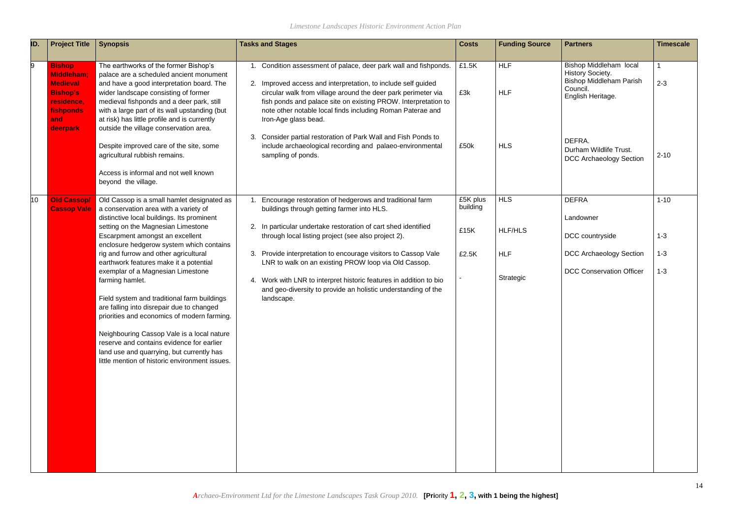| ID.              | <b>Project Title</b>                                                                                       | <b>Synopsis</b>                                                                                                                                                                                                                                                                                                                                                                           | <b>Tasks and Stages</b>                                                                                                                                                                                                                                                                                                                                    | <b>Costs</b>         | <b>Funding Source</b>    | <b>Partners</b>                                                                                               | <b>Timescale</b> |
|------------------|------------------------------------------------------------------------------------------------------------|-------------------------------------------------------------------------------------------------------------------------------------------------------------------------------------------------------------------------------------------------------------------------------------------------------------------------------------------------------------------------------------------|------------------------------------------------------------------------------------------------------------------------------------------------------------------------------------------------------------------------------------------------------------------------------------------------------------------------------------------------------------|----------------------|--------------------------|---------------------------------------------------------------------------------------------------------------|------------------|
| 9                | <b>Bishop</b><br><b>Middleham:</b><br><b>Medieval</b><br><b>Bishop's</b><br>residence,<br>fishponds<br>and | The earthworks of the former Bishop's<br>palace are a scheduled ancient monument<br>and have a good interpretation board. The<br>wider landscape consisting of former<br>medieval fishponds and a deer park, still<br>with a large part of its wall upstanding (but<br>at risk) has little profile and is currently                                                                       | 1. Condition assessment of palace, deer park wall and fishponds.<br>2. Improved access and interpretation, to include self guided<br>circular walk from village around the deer park perimeter via<br>fish ponds and palace site on existing PROW. Interpretation to<br>note other notable local finds including Roman Paterae and<br>Iron-Age glass bead. | £1.5K<br>£3k         | <b>HLF</b><br><b>HLF</b> | Bishop Middleham local<br>History Society.<br><b>Bishop Middleham Parish</b><br>Council.<br>English Heritage. | $2 - 3$          |
|                  | deerpark                                                                                                   | outside the village conservation area.<br>Despite improved care of the site, some<br>agricultural rubbish remains.<br>Access is informal and not well known<br>beyond the village.                                                                                                                                                                                                        | Consider partial restoration of Park Wall and Fish Ponds to<br>include archaeological recording and palaeo-environmental<br>sampling of ponds.                                                                                                                                                                                                             | £50k                 | <b>HLS</b>               | DEFRA.<br>Durham Wildlife Trust.<br><b>DCC Archaeology Section</b>                                            | $2 - 10$         |
| 10 <sub>10</sub> | <b>Old Cassop/</b><br><b>Cassop Vale</b>                                                                   | Old Cassop is a small hamlet designated as<br>a conservation area with a variety of                                                                                                                                                                                                                                                                                                       | Encourage restoration of hedgerows and traditional farm<br>buildings through getting farmer into HLS.                                                                                                                                                                                                                                                      | £5K plus<br>building | <b>HLS</b>               | <b>DEFRA</b>                                                                                                  | $1 - 10$         |
|                  |                                                                                                            | distinctive local buildings. Its prominent<br>setting on the Magnesian Limestone<br>Escarpment amongst an excellent                                                                                                                                                                                                                                                                       | 2. In particular undertake restoration of cart shed identified<br>through local listing project (see also project 2).                                                                                                                                                                                                                                      | £15K                 | <b>HLF/HLS</b>           | Landowner<br>DCC countryside                                                                                  | $1 - 3$          |
|                  |                                                                                                            | enclosure hedgerow system which contains<br>rig and furrow and other agricultural<br>earthwork features make it a potential                                                                                                                                                                                                                                                               | Provide interpretation to encourage visitors to Cassop Vale<br>3.<br>LNR to walk on an existing PROW loop via Old Cassop.                                                                                                                                                                                                                                  | £2.5K                | <b>HLF</b>               | <b>DCC Archaeology Section</b>                                                                                | $1 - 3$          |
|                  |                                                                                                            | exemplar of a Magnesian Limestone<br>farming hamlet.<br>Field system and traditional farm buildings<br>are falling into disrepair due to changed<br>priorities and economics of modern farming.<br>Neighbouring Cassop Vale is a local nature<br>reserve and contains evidence for earlier<br>land use and quarrying, but currently has<br>little mention of historic environment issues. | 4. Work with LNR to interpret historic features in addition to bio<br>and geo-diversity to provide an holistic understanding of the<br>landscape.                                                                                                                                                                                                          |                      | Strategic                | <b>DCC Conservation Officer</b>                                                                               | $1 - 3$          |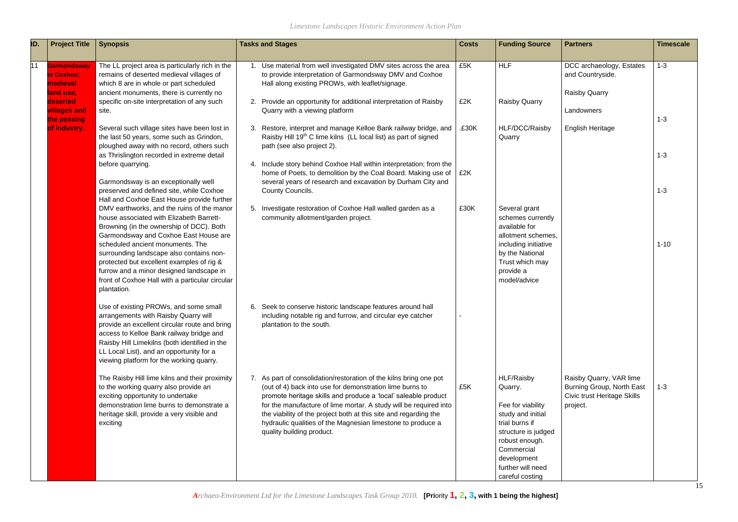| ID. | <b>Project Title</b>                                                                  | <b>Synopsis</b>                                                                                                                                                                                                                                                                                                                                                                                                                                                                                                                           | <b>Tasks and Stages</b>                                                                                                                                                                                                                                                                                                                                                                                                               | <b>Costs</b> | <b>Funding Source</b>                                                                                                                                                                                  | <b>Partners</b>                                                                                 | <b>Timescale</b>    |
|-----|---------------------------------------------------------------------------------------|-------------------------------------------------------------------------------------------------------------------------------------------------------------------------------------------------------------------------------------------------------------------------------------------------------------------------------------------------------------------------------------------------------------------------------------------------------------------------------------------------------------------------------------------|---------------------------------------------------------------------------------------------------------------------------------------------------------------------------------------------------------------------------------------------------------------------------------------------------------------------------------------------------------------------------------------------------------------------------------------|--------------|--------------------------------------------------------------------------------------------------------------------------------------------------------------------------------------------------------|-------------------------------------------------------------------------------------------------|---------------------|
| 11  | Garmondsway<br>to Coxhoe;<br>medieval<br>land use,<br>deserted<br><b>villages and</b> | The LL project area is particularly rich in the<br>remains of deserted medieval villages of<br>which 8 are in whole or part scheduled<br>ancient monuments, there is currently no<br>specific on-site interpretation of any such<br>site.                                                                                                                                                                                                                                                                                                 | 1. Use material from well investigated DMV sites across the area<br>to provide interpretation of Garmondsway DMV and Coxhoe<br>Hall along existing PROWs, with leaflet/signage.<br>2. Provide an opportunity for additional interpretation of Raisby<br>Quarry with a viewing platform                                                                                                                                                | £5K<br>£2K   | <b>HLF</b><br><b>Raisby Quarry</b>                                                                                                                                                                     | DCC archaeology, Estates<br>and Countryside.<br><b>Raisby Quarry</b><br>Landowners              | $1 - 3$             |
|     | the passing<br>of industry.                                                           | Several such village sites have been lost in<br>the last 50 years, some such as Grindon,<br>ploughed away with no record, others such<br>as Thrislington recorded in extreme detail<br>before quarrying.                                                                                                                                                                                                                                                                                                                                  | 3. Restore, interpret and manage Kelloe Bank railway bridge, and<br>Raisby Hill 19 <sup>th</sup> C lime kilns (LL local list) as part of signed<br>path (see also project 2).<br>4. Include story behind Coxhoe Hall within interpretation; from the                                                                                                                                                                                  | £30K         | HLF/DCC/Raisby<br>Quarry                                                                                                                                                                               | <b>English Heritage</b>                                                                         | $1 - 3$<br>$1 - 3$  |
|     |                                                                                       | Garmondsway is an exceptionally well<br>preserved and defined site, while Coxhoe<br>Hall and Coxhoe East House provide further<br>DMV earthworks, and the ruins of the manor<br>house associated with Elizabeth Barrett-<br>Browning (in the ownership of DCC). Both<br>Garmondsway and Coxhoe East House are<br>scheduled ancient monuments. The<br>surrounding landscape also contains non-<br>protected but excellent examples of rig &<br>furrow and a minor designed landscape in<br>front of Coxhoe Hall with a particular circular | home of Poets, to demolition by the Coal Board. Making use of<br>several years of research and excavation by Durham City and<br>County Councils.<br>5. Investigate restoration of Coxhoe Hall walled garden as a<br>community allotment/garden project.                                                                                                                                                                               | £2K<br>£30K  | Several grant<br>schemes currently<br>available for<br>allotment schemes,<br>including initiative<br>by the National<br>Trust which may<br>provide a<br>model/advice                                   |                                                                                                 | $1 - 3$<br>$1 - 10$ |
|     |                                                                                       | plantation.<br>Use of existing PROWs, and some small<br>arrangements with Raisby Quarry will<br>provide an excellent circular route and bring<br>access to Kelloe Bank railway bridge and<br>Raisby Hill Limekilns (both identified in the<br>LL Local List), and an opportunity for a<br>viewing platform for the working quarry.                                                                                                                                                                                                        | 6. Seek to conserve historic landscape features around hall<br>including notable rig and furrow, and circular eye catcher<br>plantation to the south.                                                                                                                                                                                                                                                                                 |              |                                                                                                                                                                                                        |                                                                                                 |                     |
|     |                                                                                       | The Raisby Hill lime kilns and their proximity<br>to the working quarry also provide an<br>exciting opportunity to undertake<br>demonstration lime burns to demonstrate a<br>heritage skill, provide a very visible and<br>exciting                                                                                                                                                                                                                                                                                                       | 7. As part of consolidation/restoration of the kilns bring one pot<br>(out of 4) back into use for demonstration lime burns to<br>promote heritage skills and produce a 'local' saleable product<br>for the manufacture of lime mortar. A study will be required into<br>the viability of the project both at this site and regarding the<br>hydraulic qualities of the Magnesian limestone to produce a<br>quality building product. | £5K          | <b>HLF/Raisby</b><br>Quarry.<br>Fee for viability<br>study and initial<br>trial burns if<br>structure is judged<br>robust enough.<br>Commercial<br>development<br>further will need<br>careful costing | Raisby Quarry, VAR lime<br>Burning Group, North East<br>Civic trust Heritage Skills<br>project. | $1 - 3$             |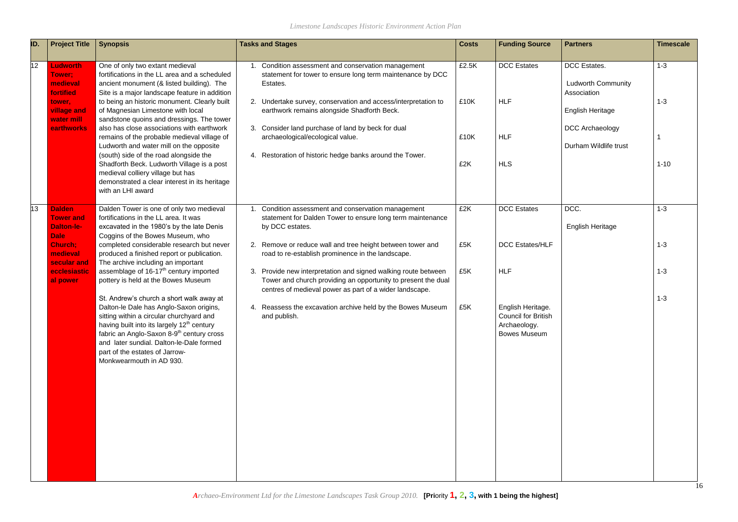| ID. | <b>Project Title</b>                                                                                    | <b>Synopsis</b>                                                                                                                                                                                                                                                                                                                                                                                                                                                                                                                                  | <b>Tasks and Stages</b>                                                                                                                                                                                                                                                                                                                                                                           | <b>Costs</b>                 | <b>Funding Source</b>                                                                  | <b>Partners</b>                                                                                                                        | <b>Timescale</b>               |
|-----|---------------------------------------------------------------------------------------------------------|--------------------------------------------------------------------------------------------------------------------------------------------------------------------------------------------------------------------------------------------------------------------------------------------------------------------------------------------------------------------------------------------------------------------------------------------------------------------------------------------------------------------------------------------------|---------------------------------------------------------------------------------------------------------------------------------------------------------------------------------------------------------------------------------------------------------------------------------------------------------------------------------------------------------------------------------------------------|------------------------------|----------------------------------------------------------------------------------------|----------------------------------------------------------------------------------------------------------------------------------------|--------------------------------|
| 12  | <b>Ludworth</b><br>Tower:<br>medieval<br>fortified<br>tower,<br>village and<br>water mill<br>earthworks | One of only two extant medieval<br>fortifications in the LL area and a scheduled<br>ancient monument (& listed building). The<br>Site is a major landscape feature in addition<br>to being an historic monument. Clearly built<br>of Magnesian Limestone with local<br>sandstone quoins and dressings. The tower<br>also has close associations with earthwork<br>remains of the probable medieval village of<br>Ludworth and water mill on the opposite<br>(south) side of the road alongside the<br>Shadforth Beck. Ludworth Village is a post | Condition assessment and conservation management<br>statement for tower to ensure long term maintenance by DCC<br>Estates.<br>2. Undertake survey, conservation and access/interpretation to<br>earthwork remains alongside Shadforth Beck.<br>3. Consider land purchase of land by beck for dual<br>archaeological/ecological value.<br>4. Restoration of historic hedge banks around the Tower. | £2.5K<br>£10K<br>£10K<br>£2K | <b>DCC</b> Estates<br><b>HLF</b><br><b>HLF</b><br><b>HLS</b>                           | <b>DCC</b> Estates.<br><b>Ludworth Community</b><br>Association<br><b>English Heritage</b><br>DCC Archaeology<br>Durham Wildlife trust | $1 - 3$<br>$1 - 3$<br>$1 - 10$ |
|     |                                                                                                         | medieval colliery village but has<br>demonstrated a clear interest in its heritage<br>with an LHI award                                                                                                                                                                                                                                                                                                                                                                                                                                          |                                                                                                                                                                                                                                                                                                                                                                                                   |                              |                                                                                        |                                                                                                                                        |                                |
| 13  | <b>Dalden</b><br><b>Tower and</b><br><b>Dalton-le-</b><br><b>Dale</b>                                   | Dalden Tower is one of only two medieval<br>fortifications in the LL area. It was<br>excavated in the 1980's by the late Denis<br>Coggins of the Bowes Museum, who                                                                                                                                                                                                                                                                                                                                                                               | Condition assessment and conservation management<br>statement for Dalden Tower to ensure long term maintenance<br>by DCC estates.                                                                                                                                                                                                                                                                 | £2K                          | <b>DCC</b> Estates                                                                     | DCC.<br><b>English Heritage</b>                                                                                                        | $1 - 3$                        |
|     | <b>Church:</b><br>medieval<br>secular and                                                               | completed considerable research but never<br>produced a finished report or publication.<br>The archive including an important                                                                                                                                                                                                                                                                                                                                                                                                                    | 2. Remove or reduce wall and tree height between tower and<br>road to re-establish prominence in the landscape.                                                                                                                                                                                                                                                                                   | £5K                          | <b>DCC Estates/HLF</b>                                                                 |                                                                                                                                        | $1 - 3$                        |
|     | ecclesiastic<br>al power                                                                                | assemblage of 16-17 <sup>th</sup> century imported<br>pottery is held at the Bowes Museum                                                                                                                                                                                                                                                                                                                                                                                                                                                        | 3. Provide new interpretation and signed walking route between<br>Tower and church providing an opportunity to present the dual<br>centres of medieval power as part of a wider landscape.                                                                                                                                                                                                        | £5K                          | <b>HLF</b>                                                                             |                                                                                                                                        | $1 - 3$                        |
|     |                                                                                                         | St. Andrew's church a short walk away at<br>Dalton-le Dale has Anglo-Saxon origins,<br>sitting within a circular churchyard and<br>having built into its largely 12 <sup>th</sup> century<br>fabric an Anglo-Saxon 8-9 <sup>th</sup> century cross<br>and later sundial. Dalton-le-Dale formed<br>part of the estates of Jarrow-<br>Monkwearmouth in AD 930.                                                                                                                                                                                     | 4. Reassess the excavation archive held by the Bowes Museum<br>and publish.                                                                                                                                                                                                                                                                                                                       | £5K                          | English Heritage.<br><b>Council for British</b><br>Archaeology.<br><b>Bowes Museum</b> |                                                                                                                                        | $1 - 3$                        |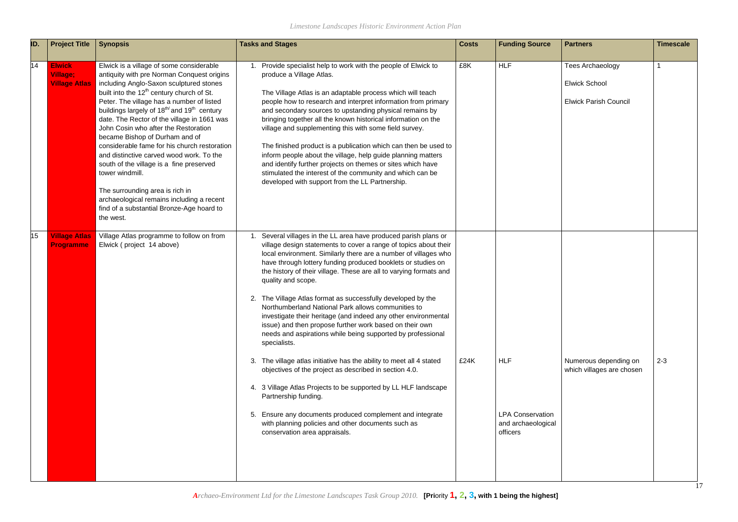|   | <b>Partners</b>                                    | <b>Timescale</b> |
|---|----------------------------------------------------|------------------|
|   | Tees Archaeology                                   | 1                |
|   | Elwick School                                      |                  |
|   | <b>Elwick Parish Council</b>                       |                  |
|   |                                                    |                  |
|   |                                                    |                  |
|   |                                                    |                  |
|   |                                                    |                  |
|   |                                                    |                  |
|   |                                                    |                  |
|   |                                                    |                  |
|   |                                                    |                  |
|   |                                                    |                  |
|   |                                                    |                  |
|   |                                                    |                  |
|   |                                                    |                  |
|   |                                                    |                  |
|   |                                                    |                  |
|   | Numerous depending on<br>which villages are chosen | $2 - 3$          |
|   |                                                    |                  |
|   |                                                    |                  |
| I |                                                    |                  |
|   |                                                    |                  |
|   |                                                    |                  |
|   |                                                    |                  |

| ID. | <b>Project Title</b>                                     | <b>Synopsis</b>                                                                                                                                                                                                                                                                                                                                                                                                                                                                                                                                                                                                                                                                                                                              | <b>Tasks and Stages</b>                                                                                                                                                                                                                                                                                                                                                                                                                                                                                                                                                                                                                                                                                                                                                                                                                                                                                                                                                                                                                                                             | <b>Costs</b> | <b>Funding Source</b>                                                   | <b>Partners</b>                                                                 | <b>Timescale</b> |
|-----|----------------------------------------------------------|----------------------------------------------------------------------------------------------------------------------------------------------------------------------------------------------------------------------------------------------------------------------------------------------------------------------------------------------------------------------------------------------------------------------------------------------------------------------------------------------------------------------------------------------------------------------------------------------------------------------------------------------------------------------------------------------------------------------------------------------|-------------------------------------------------------------------------------------------------------------------------------------------------------------------------------------------------------------------------------------------------------------------------------------------------------------------------------------------------------------------------------------------------------------------------------------------------------------------------------------------------------------------------------------------------------------------------------------------------------------------------------------------------------------------------------------------------------------------------------------------------------------------------------------------------------------------------------------------------------------------------------------------------------------------------------------------------------------------------------------------------------------------------------------------------------------------------------------|--------------|-------------------------------------------------------------------------|---------------------------------------------------------------------------------|------------------|
| 14  | <b>Elwick</b><br><b>Village:</b><br><b>Village Atlas</b> | Elwick is a village of some considerable<br>antiquity with pre Norman Conquest origins<br>including Anglo-Saxon sculptured stones<br>built into the 12 <sup>th</sup> century church of St.<br>Peter. The village has a number of listed<br>buildings largely of 18 <sup>th/</sup> and 19 <sup>th</sup> century<br>date. The Rector of the village in 1661 was<br>John Cosin who after the Restoration<br>became Bishop of Durham and of<br>considerable fame for his church restoration<br>and distinctive carved wood work. To the<br>south of the village is a fine preserved<br>tower windmill.<br>The surrounding area is rich in<br>archaeological remains including a recent<br>find of a substantial Bronze-Age hoard to<br>the west. | Provide specialist help to work with the people of Elwick to<br>produce a Village Atlas.<br>The Village Atlas is an adaptable process which will teach<br>people how to research and interpret information from primary<br>and secondary sources to upstanding physical remains by<br>bringing together all the known historical information on the<br>village and supplementing this with some field survey.<br>The finished product is a publication which can then be used to<br>inform people about the village, help guide planning matters<br>and identify further projects on themes or sites which have<br>stimulated the interest of the community and which can be<br>developed with support from the LL Partnership.                                                                                                                                                                                                                                                                                                                                                     | £8K          | <b>HLF</b>                                                              | <b>Tees Archaeology</b><br><b>Elwick School</b><br><b>Elwick Parish Council</b> |                  |
| 15  | <b>Village Atlas</b><br><b>Programme</b>                 | Village Atlas programme to follow on from<br>Elwick (project 14 above)                                                                                                                                                                                                                                                                                                                                                                                                                                                                                                                                                                                                                                                                       | Several villages in the LL area have produced parish plans or<br>village design statements to cover a range of topics about their<br>local environment. Similarly there are a number of villages who<br>have through lottery funding produced booklets or studies on<br>the history of their village. These are all to varying formats and<br>quality and scope.<br>2. The Village Atlas format as successfully developed by the<br>Northumberland National Park allows communities to<br>investigate their heritage (and indeed any other environmental<br>issue) and then propose further work based on their own<br>needs and aspirations while being supported by professional<br>specialists.<br>3. The village atlas initiative has the ability to meet all 4 stated<br>objectives of the project as described in section 4.0.<br>4. 3 Village Atlas Projects to be supported by LL HLF landscape<br>Partnership funding.<br>5. Ensure any documents produced complement and integrate<br>with planning policies and other documents such as<br>conservation area appraisals. | £24K         | <b>HLF</b><br><b>LPA Conservation</b><br>and archaeological<br>officers | Numerous depending on<br>which villages are chosen                              | $2 - 3$          |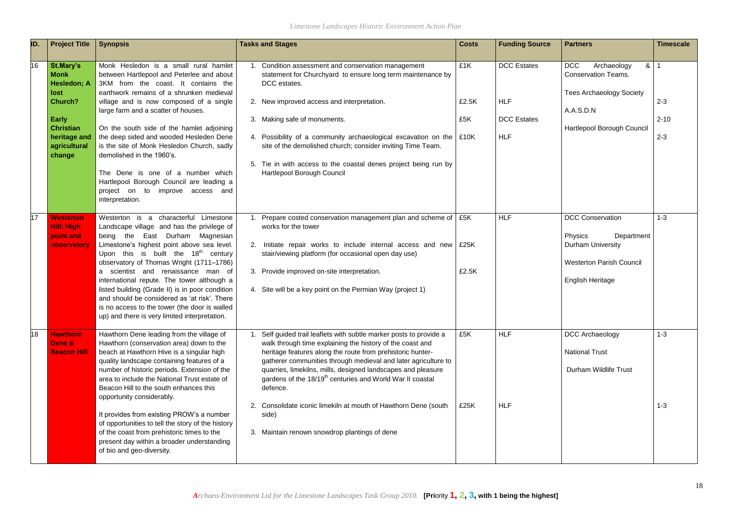| ID. | <b>Project Title</b>                                                                                                                                   | <b>Synopsis</b>                                                                                                                                                                                                                                                                                                                                                                                                                                                                                                                                                                    | <b>Tasks and Stages</b>                                                                                                                                                                                                                                                                                                                                                                                                                                                                                                                         | <b>Costs</b>        | <b>Funding Source</b>                                                | <b>Partners</b>                                                                                                                              | <b>Timescale</b>               |
|-----|--------------------------------------------------------------------------------------------------------------------------------------------------------|------------------------------------------------------------------------------------------------------------------------------------------------------------------------------------------------------------------------------------------------------------------------------------------------------------------------------------------------------------------------------------------------------------------------------------------------------------------------------------------------------------------------------------------------------------------------------------|-------------------------------------------------------------------------------------------------------------------------------------------------------------------------------------------------------------------------------------------------------------------------------------------------------------------------------------------------------------------------------------------------------------------------------------------------------------------------------------------------------------------------------------------------|---------------------|----------------------------------------------------------------------|----------------------------------------------------------------------------------------------------------------------------------------------|--------------------------------|
| 16  | St.Mary's<br><b>Monk</b><br><b>Hesledon; A</b><br>lost<br><b>Church?</b><br><b>Early</b><br><b>Christian</b><br>heritage and<br>agricultural<br>change | Monk Hesledon is a small rural hamlet<br>between Hartlepool and Peterlee and about<br>3KM from the coast. It contains the<br>earthwork remains of a shrunken medieval<br>village and is now composed of a single<br>large farm and a scatter of houses.<br>On the south side of the hamlet adjoining<br>the deep sided and wooded Hesleden Dene<br>is the site of Monk Hesledon Church, sadly<br>demolished in the 1960's.<br>The Dene is one of a number which<br>Hartlepool Borough Council are leading a<br>project on to improve access and<br>interpretation.                 | 1. Condition assessment and conservation management<br>statement for Churchyard to ensure long term maintenance by<br>DCC estates.<br>2. New improved access and interpretation.<br>3. Making safe of monuments.<br>4. Possibility of a community archaeological excavation on the   £10K<br>site of the demolished church; consider inviting Time Team.<br>5. Tie in with access to the coastal denes project being run by<br>Hartlepool Borough Council                                                                                       | £1K<br>£2.5K<br>£5K | <b>DCC</b> Estates<br><b>HLF</b><br><b>DCC</b> Estates<br><b>HLF</b> | <b>DCC</b><br>8 1<br>Archaeology<br><b>Conservation Teams.</b><br><b>Tees Archaeology Society</b><br>A.A.S.D.N<br>Hartlepool Borough Council | $2 - 3$<br>$2 - 10$<br>$2 - 3$ |
| 17  | <b>Westerton</b><br><b>Hill: High</b><br>point and<br>observatory                                                                                      | Westerton is a characterful Limestone<br>Landscape village and has the privilege of<br>being the East Durham Magnesian<br>Limestone's highest point above sea level.<br>Upon this is built the $18th$ century<br>observatory of Thomas Wright (1711-1786)<br>a scientist and renaissance man of<br>international repute. The tower although a<br>listed building (Grade II) is in poor condition<br>and should be considered as 'at risk'. There<br>is no access to the tower (the door is walled<br>up) and there is very limited interpretation.                                 | Prepare costed conservation management plan and scheme of   £5K<br>works for the tower<br>2. Initiate repair works to include internal access and new E25K<br>stair/viewing platform (for occasional open day use)<br>3. Provide improved on-site interpretation.<br>4. Site will be a key point on the Permian Way (project 1)                                                                                                                                                                                                                 | £2.5K               | <b>HLF</b>                                                           | <b>DCC Conservation</b><br>Physics<br>Department<br><b>Durham University</b><br><b>Westerton Parish Council</b><br><b>English Heritage</b>   | $1 - 3$                        |
| 18  | <b>Hawthorn</b><br>Dene &<br><b>Beacon Hill</b>                                                                                                        | Hawthorn Dene leading from the village of<br>Hawthorn (conservation area) down to the<br>beach at Hawthorn Hive is a singular high<br>quality landscape containing features of a<br>number of historic periods. Extension of the<br>area to include the National Trust estate of<br>Beacon Hill to the south enhances this<br>opportunity considerably.<br>It provides from existing PROW's a number<br>of opportunities to tell the story of the history<br>of the coast from prehistoric times to the<br>present day within a broader understanding<br>of bio and geo-diversity. | Self guided trail leaflets with subtle marker posts to provide a<br>walk through time explaining the history of the coast and<br>heritage features along the route from prehistoric hunter-<br>gatherer communities through medieval and later agriculture to<br>quarries, limekilns, mills, designed landscapes and pleasure<br>gardens of the 18/19 <sup>th</sup> centuries and World War II coastal<br>defence.<br>2. Consolidate iconic limekiln at mouth of Hawthorn Dene (south<br>side)<br>3. Maintain renown snowdrop plantings of dene | £5K<br>£25K         | <b>HLF</b><br><b>HLF</b>                                             | DCC Archaeology<br><b>National Trust</b><br>Durham Wildlife Trust                                                                            | $1 - 3$<br>$1 - 3$             |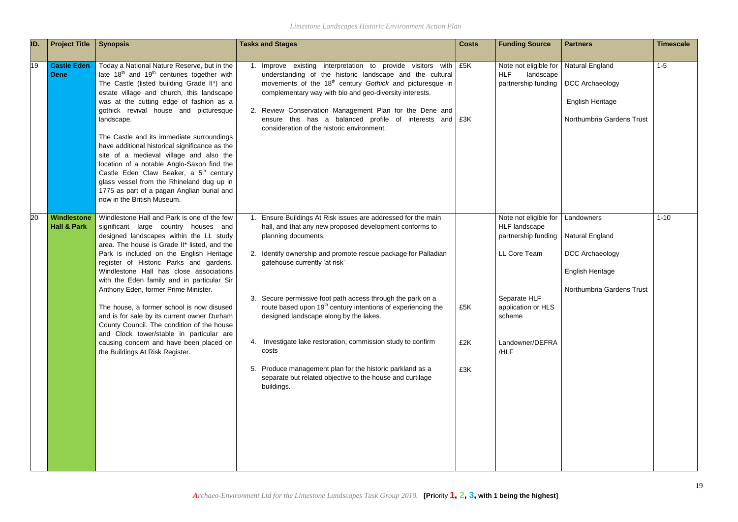| ID. | <b>Project Title</b>                  | <b>Synopsis</b>                                                                                                                                                                                                                                                                                                                                                                                                                                                                                                                                                                                                                                                                       | <b>Tasks and Stages</b>                                                                                                                                                                                                                                                                                                                                                                                                                                                                                                                                                                                                                               | <b>Costs</b>      | <b>Funding Source</b>                                                                                                                                           | <b>Partners</b>                                                                                          | <b>Timescale</b> |
|-----|---------------------------------------|---------------------------------------------------------------------------------------------------------------------------------------------------------------------------------------------------------------------------------------------------------------------------------------------------------------------------------------------------------------------------------------------------------------------------------------------------------------------------------------------------------------------------------------------------------------------------------------------------------------------------------------------------------------------------------------|-------------------------------------------------------------------------------------------------------------------------------------------------------------------------------------------------------------------------------------------------------------------------------------------------------------------------------------------------------------------------------------------------------------------------------------------------------------------------------------------------------------------------------------------------------------------------------------------------------------------------------------------------------|-------------------|-----------------------------------------------------------------------------------------------------------------------------------------------------------------|----------------------------------------------------------------------------------------------------------|------------------|
| 19  | <b>Castle Eden</b><br><b>Dene</b>     | Today a National Nature Reserve, but in the<br>late 18 <sup>th</sup> and 19 <sup>th</sup> centuries together with<br>The Castle (listed building Grade II*) and<br>estate village and church, this landscape<br>was at the cutting edge of fashion as a<br>gothick revival house and picturesque<br>landscape.<br>The Castle and its immediate surroundings<br>have additional historical significance as the<br>site of a medieval village and also the<br>location of a notable Anglo-Saxon find the<br>Castle Eden Claw Beaker, a 5 <sup>th</sup> century<br>glass vessel from the Rhineland dug up in<br>1775 as part of a pagan Anglian burial and<br>now in the British Museum. | 1. Improve existing interpretation to provide visitors with<br>understanding of the historic landscape and the cultural<br>movements of the 18 <sup>th</sup> century Gothick and picturesque in<br>complementary way with bio and geo-diversity interests.<br>2. Review Conservation Management Plan for the Dene and<br>ensure this has a balanced profile of interests and $\frac{1}{2}$ £3K<br>consideration of the historic environment.                                                                                                                                                                                                          | £5K               | Note not eligible for<br><b>HLF</b><br>landscape<br>partnership funding                                                                                         | <b>Natural England</b><br>DCC Archaeology<br>English Heritage<br>Northumbria Gardens Trust               | $1-5$            |
| 20  | Windlestone<br><b>Hall &amp; Park</b> | Windlestone Hall and Park is one of the few<br>significant large country houses and<br>designed landscapes within the LL study<br>area. The house is Grade II* listed, and the<br>Park is included on the English Heritage<br>register of Historic Parks and gardens.<br>Windlestone Hall has close associations<br>with the Eden family and in particular Sir<br>Anthony Eden, former Prime Minister.<br>The house, a former school is now disused<br>and is for sale by its current owner Durham<br>County Council. The condition of the house<br>and Clock tower/stable in particular are<br>causing concern and have been placed on<br>the Buildings At Risk Register.            | Ensure Buildings At Risk issues are addressed for the main<br>hall, and that any new proposed development conforms to<br>planning documents.<br>2. Identify ownership and promote rescue package for Palladian<br>gatehouse currently 'at risk'<br>3. Secure permissive foot path access through the park on a<br>route based upon 19 <sup>th</sup> century intentions of experiencing the<br>designed landscape along by the lakes.<br>4. Investigate lake restoration, commission study to confirm<br>costs<br>5. Produce management plan for the historic parkland as a<br>separate but related objective to the house and curtilage<br>buildings. | £5K<br>£2K<br>£3K | Note not eligible for<br><b>HLF</b> landscape<br>partnership funding<br>LL Core Team<br>Separate HLF<br>application or HLS<br>scheme<br>Landowner/DEFRA<br>/HLF | Landowners<br>Natural England<br>DCC Archaeology<br><b>English Heritage</b><br>Northumbria Gardens Trust | $1 - 10$         |

| <b>Partners</b>           | <b>Timescale</b> |
|---------------------------|------------------|
| Natural England           | $1 - 5$          |
| DCC Archaeology           |                  |
| English Heritage          |                  |
| Northumbria Gardens Trust |                  |
|                           |                  |
|                           |                  |
|                           |                  |
|                           |                  |
| Landowners                | $1 - 10$         |
| Natural England           |                  |
| DCC Archaeology           |                  |
| English Heritage          |                  |
| Northumbria Gardens Trust |                  |
|                           |                  |
|                           |                  |
|                           |                  |
|                           |                  |
|                           |                  |
|                           |                  |
|                           |                  |
|                           |                  |
|                           |                  |
|                           |                  |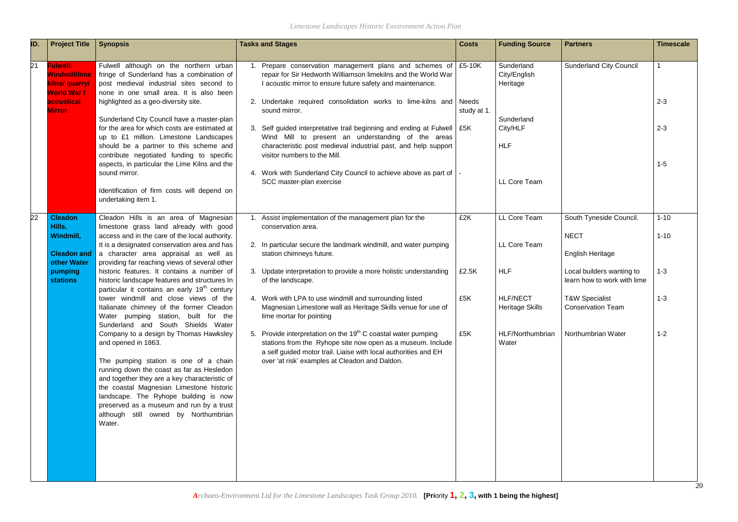| ID. | <b>Project Title</b>                                                                                     | <b>Synopsis</b>                                                                                                                                                                                                                                                                                                                                                                         | <b>Tasks and Stages</b>                                                                                                                                                                                                                                                                                                               | <b>Costs</b>         | <b>Funding Source</b>                                | <b>Partners</b>                                                   | <b>Timescale</b>     |
|-----|----------------------------------------------------------------------------------------------------------|-----------------------------------------------------------------------------------------------------------------------------------------------------------------------------------------------------------------------------------------------------------------------------------------------------------------------------------------------------------------------------------------|---------------------------------------------------------------------------------------------------------------------------------------------------------------------------------------------------------------------------------------------------------------------------------------------------------------------------------------|----------------------|------------------------------------------------------|-------------------------------------------------------------------|----------------------|
| 21  | <b>Fulwell:</b><br><b>Windmill/lime</b><br>kilns/ quarry/<br><b>World War I</b><br>acoustical<br>Mirror. | Fulwell although on the northern urban<br>fringe of Sunderland has a combination of<br>post medieval industrial sites second to<br>none in one small area. It is also been<br>highlighted as a geo-diversity site.                                                                                                                                                                      | Prepare conservation management plans and schemes of E5-10K<br>repair for Sir Hedworth Williamson limekilns and the World War<br>I acoustic mirror to ensure future safety and maintenance.<br>2. Undertake required consolidation works to lime-kilns and<br>sound mirror.                                                           | Needs<br>study at 1. | Sunderland<br>City/English<br>Heritage               | <b>Sunderland City Council</b>                                    | $2 - 3$              |
|     |                                                                                                          | Sunderland City Council have a master-plan<br>for the area for which costs are estimated at<br>up to £1 million. Limestone Landscapes<br>should be a partner to this scheme and<br>contribute negotiated funding to specific<br>aspects, in particular the Lime Kilns and the<br>sound mirror.                                                                                          | 3. Self guided interpretative trail beginning and ending at Fulwell   £5K<br>Wind Mill to present an understanding of the areas<br>characteristic post medieval industrial past, and help support<br>visitor numbers to the Mill.<br>4. Work with Sunderland City Council to achieve above as part of   -<br>SCC master-plan exercise |                      | Sunderland<br>City/HLF<br><b>HLF</b><br>LL Core Team |                                                                   | $2 - 3$<br>$1 - 5$   |
|     |                                                                                                          | Identification of firm costs will depend on<br>undertaking item 1.                                                                                                                                                                                                                                                                                                                      |                                                                                                                                                                                                                                                                                                                                       |                      |                                                      |                                                                   |                      |
| 22  | <b>Cleadon</b><br>Hills.<br>Windmill,<br><b>Cleadon and</b>                                              | Cleadon Hills is an area of Magnesian<br>limestone grass land already with good<br>access and in the care of the local authority.<br>It is a designated conservation area and has<br>a character area appraisal as well as                                                                                                                                                              | Assist implementation of the management plan for the<br>conservation area.<br>2. In particular secure the landmark windmill, and water pumping<br>station chimneys future.                                                                                                                                                            | £2K                  | LL Core Team<br>LL Core Team                         | South Tyneside Council.<br><b>NECT</b><br><b>English Heritage</b> | $1 - 10$<br>$1 - 10$ |
|     | other Water<br>pumping<br><b>stations</b>                                                                | providing far reaching views of several other<br>historic features. It contains a number of<br>historic landscape features and structures In<br>particular it contains an early 19 <sup>th</sup> century                                                                                                                                                                                | 3. Update interpretation to provide a more holistic understanding<br>of the landscape.                                                                                                                                                                                                                                                | £2.5K                | <b>HLF</b>                                           | Local builders wanting to<br>learn how to work with lime          | $1 - 3$              |
|     |                                                                                                          | tower windmill and close views of the<br>Italianate chimney of the former Cleadon<br>Water pumping station, built for the<br>Sunderland and South Shields Water                                                                                                                                                                                                                         | 4. Work with LPA to use windmill and surrounding listed<br>Magnesian Limestone wall as Heritage Skills venue for use of<br>lime mortar for pointing                                                                                                                                                                                   | £5K                  | <b>HLF/NECT</b><br>Heritage Skills                   | <b>T&amp;W Specialist</b><br><b>Conservation Team</b>             | $1 - 3$              |
|     |                                                                                                          | Company to a design by Thomas Hawksley<br>and opened in 1863.<br>The pumping station is one of a chain<br>running down the coast as far as Hesledon<br>and together they are a key characteristic of<br>the coastal Magnesian Limestone historic<br>landscape. The Ryhope building is now<br>preserved as a museum and run by a trust<br>although still owned by Northumbrian<br>Water. | 5. Provide interpretation on the 19 <sup>th</sup> C coastal water pumping<br>stations from the Ryhope site now open as a museum. Include<br>a self guided motor trail. Liaise with local authorities and EH<br>over 'at risk' examples at Cleadon and Daldon.                                                                         | £5K                  | HLF/Northumbrian<br>Water                            | Northumbrian Water                                                | $1 - 2$<br>20        |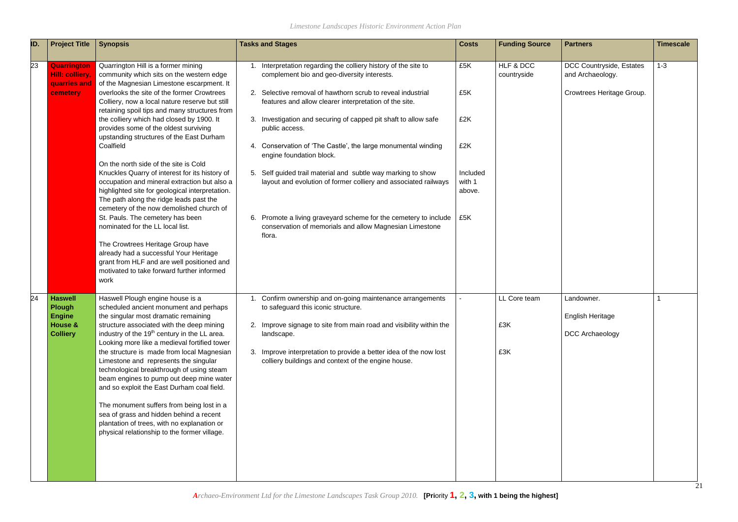*Limestone Landscapes Historic Environment Action Plan*

| ID. | <b>Project Title</b>                                                           | <b>Synopsis</b>                                                                                                                                                                                                                                                                                                                                                                                                                                                                                                                                                                                                                                                                                                                                                                                                                                                                                                                                                              | <b>Tasks and Stages</b>                                                                                                                                                                                                                                                                                                                                                                                                                                                                                                                                                                                                                                                                            | <b>Costs</b>                                                    | <b>Funding Source</b>      | <b>Partners</b>                                                           | <b>Timescale</b> |
|-----|--------------------------------------------------------------------------------|------------------------------------------------------------------------------------------------------------------------------------------------------------------------------------------------------------------------------------------------------------------------------------------------------------------------------------------------------------------------------------------------------------------------------------------------------------------------------------------------------------------------------------------------------------------------------------------------------------------------------------------------------------------------------------------------------------------------------------------------------------------------------------------------------------------------------------------------------------------------------------------------------------------------------------------------------------------------------|----------------------------------------------------------------------------------------------------------------------------------------------------------------------------------------------------------------------------------------------------------------------------------------------------------------------------------------------------------------------------------------------------------------------------------------------------------------------------------------------------------------------------------------------------------------------------------------------------------------------------------------------------------------------------------------------------|-----------------------------------------------------------------|----------------------------|---------------------------------------------------------------------------|------------------|
| 23  | <b>Quarrington</b><br><b>Hill: colliery.</b><br>quarries and<br>cemetery       | Quarrington Hill is a former mining<br>community which sits on the western edge<br>of the Magnesian Limestone escarpment. It<br>overlooks the site of the former Crowtrees<br>Colliery, now a local nature reserve but still<br>retaining spoil tips and many structures from<br>the colliery which had closed by 1900. It<br>provides some of the oldest surviving<br>upstanding structures of the East Durham<br>Coalfield<br>On the north side of the site is Cold<br>Knuckles Quarry of interest for its history of<br>occupation and mineral extraction but also a<br>highlighted site for geological interpretation.<br>The path along the ridge leads past the<br>cemetery of the now demolished church of<br>St. Pauls. The cemetery has been<br>nominated for the LL local list.<br>The Crowtrees Heritage Group have<br>already had a successful Your Heritage<br>grant from HLF and are well positioned and<br>motivated to take forward further informed<br>work | Interpretation regarding the colliery history of the site to<br>complement bio and geo-diversity interests.<br>2. Selective removal of hawthorn scrub to reveal industrial<br>features and allow clearer interpretation of the site.<br>3. Investigation and securing of capped pit shaft to allow safe<br>public access.<br>4. Conservation of 'The Castle', the large monumental winding<br>engine foundation block.<br>5. Self guided trail material and subtle way marking to show<br>layout and evolution of former colliery and associated railways<br>6. Promote a living graveyard scheme for the cemetery to include<br>conservation of memorials and allow Magnesian Limestone<br>flora. | £5K<br>£5K<br>£2K<br>£2K<br>Included<br>with 1<br>above.<br>£5K | HLF & DCC<br>countryside   | DCC Countryside, Estates<br>and Archaeology.<br>Crowtrees Heritage Group. | $1 - 3$          |
| 24  | <b>Haswell</b><br><b>Plough</b><br><b>Engine</b><br>House &<br><b>Colliery</b> | Haswell Plough engine house is a<br>scheduled ancient monument and perhaps<br>the singular most dramatic remaining<br>structure associated with the deep mining<br>industry of the 19 <sup>th</sup> century in the LL area.<br>Looking more like a medieval fortified tower<br>the structure is made from local Magnesian<br>Limestone and represents the singular<br>technological breakthrough of using steam<br>beam engines to pump out deep mine water<br>and so exploit the East Durham coal field.<br>The monument suffers from being lost in a<br>sea of grass and hidden behind a recent<br>plantation of trees, with no explanation or<br>physical relationship to the former village.                                                                                                                                                                                                                                                                             | Confirm ownership and on-going maintenance arrangements<br>to safeguard this iconic structure.<br>2. Improve signage to site from main road and visibility within the<br>landscape.<br>3. Improve interpretation to provide a better idea of the now lost<br>colliery buildings and context of the engine house.                                                                                                                                                                                                                                                                                                                                                                                   |                                                                 | LL Core team<br>£3K<br>£3K | Landowner.<br>English Heritage<br><b>DCC Archaeology</b>                  | 21               |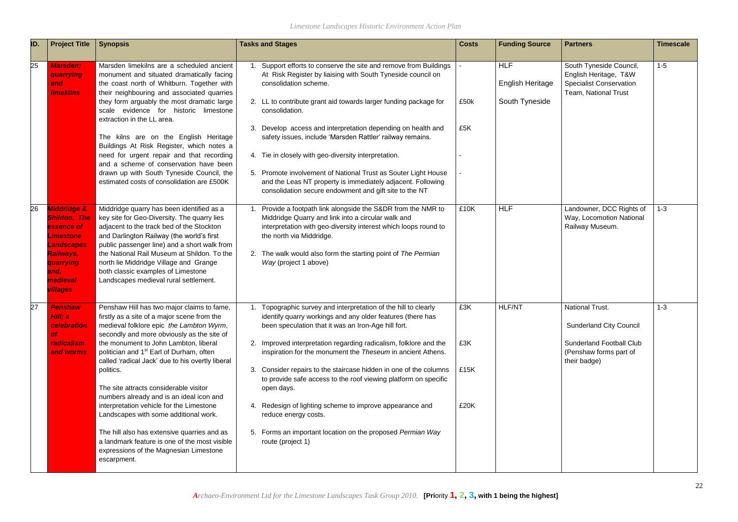| ID. | <b>Project Title</b>                                                                                                                                                         | <b>Synopsis</b>                                                                                                                                                                                                                                                                                                                                                                                            | <b>Tasks and Stages</b>                                                                                                                                                                                                                                                                                   | <b>Costs</b> | <b>Funding Source</b>                            | <b>Partners</b>                                                                                            | <b>Timescale</b> |
|-----|------------------------------------------------------------------------------------------------------------------------------------------------------------------------------|------------------------------------------------------------------------------------------------------------------------------------------------------------------------------------------------------------------------------------------------------------------------------------------------------------------------------------------------------------------------------------------------------------|-----------------------------------------------------------------------------------------------------------------------------------------------------------------------------------------------------------------------------------------------------------------------------------------------------------|--------------|--------------------------------------------------|------------------------------------------------------------------------------------------------------------|------------------|
| 25  | <b>Marsden;</b><br>quarrying<br>and<br><b>limekilns</b>                                                                                                                      | Marsden limekilns are a scheduled ancient<br>monument and situated dramatically facing<br>the coast north of Whitburn. Together with<br>their neighbouring and associated quarries<br>they form arguably the most dramatic large<br>scale evidence for historic limestone                                                                                                                                  | Support efforts to conserve the site and remove from Buildings<br>At Risk Register by liaising with South Tyneside council on<br>consolidation scheme.<br>2. LL to contribute grant aid towards larger funding package for<br>consolidation.                                                              | £50k         | <b>HLF</b><br>English Heritage<br>South Tyneside | South Tyneside Council,<br>English Heritage, T&W<br><b>Specialist Conservation</b><br>Team, National Trust | $1-5$            |
|     |                                                                                                                                                                              | extraction in the LL area.<br>The kilns are on the English Heritage<br>Buildings At Risk Register, which notes a                                                                                                                                                                                                                                                                                           | 3. Develop access and interpretation depending on health and<br>safety issues, include 'Marsden Rattler' railway remains.                                                                                                                                                                                 | £5K          |                                                  |                                                                                                            |                  |
|     |                                                                                                                                                                              | need for urgent repair and that recording<br>and a scheme of conservation have been                                                                                                                                                                                                                                                                                                                        | 4. Tie in closely with geo-diversity interpretation.                                                                                                                                                                                                                                                      |              |                                                  |                                                                                                            |                  |
|     |                                                                                                                                                                              | drawn up with South Tyneside Council, the<br>estimated costs of consolidation are £500K                                                                                                                                                                                                                                                                                                                    | 5. Promote involvement of National Trust as Souter Light House<br>and the Leas NT property is immediately adjacent. Following<br>consolidation secure endowment and gift site to the NT                                                                                                                   |              |                                                  |                                                                                                            |                  |
| 26  | <b>Middridge &amp;</b><br><b>Shildon. The</b><br>essence of<br><b>Limestone</b><br><b>Landscapes</b><br><b>Railways,</b><br>quarrying<br>and,<br>medieval<br><b>villages</b> | Middridge quarry has been identified as a<br>key site for Geo-Diversity. The quarry lies<br>adjacent to the track bed of the Stockton<br>and Darlington Railway (the world's first<br>public passenger line) and a short walk from<br>the National Rail Museum at Shildon. To the<br>north lie Middridge Village and Grange<br>both classic examples of Limestone<br>Landscapes medieval rural settlement. | Provide a footpath link alongside the S&DR from the NMR to<br>Middridge Quarry and link into a circular walk and<br>interpretation with geo-diversity interest which loops round to<br>the north via Middridge.<br>2. The walk would also form the starting point of The Permian<br>Way (project 1 above) | £10K         | <b>HLF</b>                                       | Landowner, DCC Rights of<br>Way, Locomotion National<br>Railway Museum.                                    | $1 - 3$          |
| 27  | <b>Penshaw</b><br>Hill; a<br>celebration<br>of.                                                                                                                              | Penshaw Hill has two major claims to fame,<br>firstly as a site of a major scene from the<br>medieval folklore epic the Lambton Wyrm,<br>secondly and more obviously as the site of                                                                                                                                                                                                                        | Topographic survey and interpretation of the hill to clearly<br>identify quarry workings and any older features (there has<br>been speculation that it was an Iron-Age hill fort.                                                                                                                         | £3K          | <b>HLF/NT</b>                                    | <b>National Trust.</b><br><b>Sunderland City Council</b>                                                   | $1 - 3$          |
|     | radicalism<br>and worms                                                                                                                                                      | the monument to John Lambton, liberal<br>politician and 1 <sup>st</sup> Earl of Durham, often                                                                                                                                                                                                                                                                                                              | 2. Improved interpretation regarding radicalism, folklore and the<br>inspiration for the monument the Theseum in ancient Athens.                                                                                                                                                                          | £3K          |                                                  | <b>Sunderland Football Club</b><br>(Penshaw forms part of                                                  |                  |
|     |                                                                                                                                                                              | called 'radical Jack' due to his overtly liberal<br>politics.<br>The site attracts considerable visitor<br>numbers already and is an ideal icon and                                                                                                                                                                                                                                                        | Consider repairs to the staircase hidden in one of the columns<br>3.<br>to provide safe access to the roof viewing platform on specific<br>open days.                                                                                                                                                     | £15K         |                                                  | their badge)                                                                                               |                  |
|     |                                                                                                                                                                              | interpretation vehicle for the Limestone<br>Landscapes with some additional work.                                                                                                                                                                                                                                                                                                                          | 4. Redesign of lighting scheme to improve appearance and<br>reduce energy costs.                                                                                                                                                                                                                          | £20K         |                                                  |                                                                                                            |                  |
|     |                                                                                                                                                                              | The hill also has extensive quarries and as<br>a landmark feature is one of the most visible<br>expressions of the Magnesian Limestone<br>escarpment.                                                                                                                                                                                                                                                      | 5. Forms an important location on the proposed Permian Way<br>route (project 1)                                                                                                                                                                                                                           |              |                                                  |                                                                                                            |                  |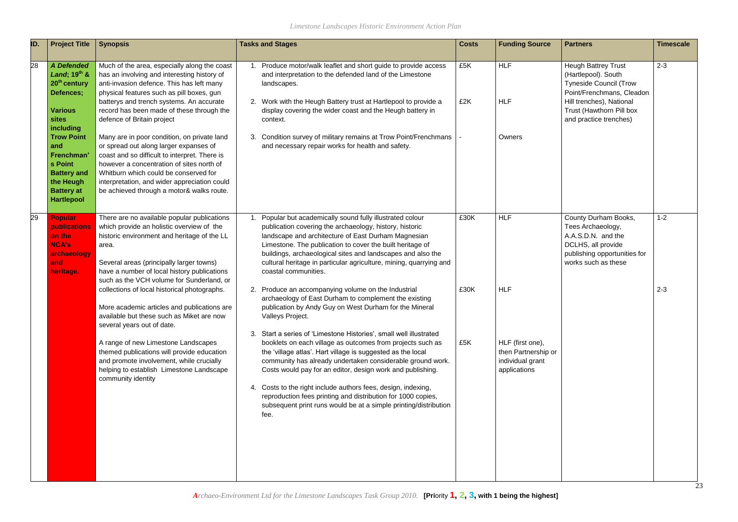| ID. | <b>Project Title</b>                                                                                                           | <b>Synopsis</b>                                                                                                                                                                                                                                                                                                           | <b>Tasks and Stages</b>                                                                                                                                                                                                                                                                                                                                                                                                                                                                                                                     | <b>Costs</b> | <b>Funding Source</b>                                                       | <b>Partners</b>                                                                                                                                                                                   | <b>Timescale</b> |
|-----|--------------------------------------------------------------------------------------------------------------------------------|---------------------------------------------------------------------------------------------------------------------------------------------------------------------------------------------------------------------------------------------------------------------------------------------------------------------------|---------------------------------------------------------------------------------------------------------------------------------------------------------------------------------------------------------------------------------------------------------------------------------------------------------------------------------------------------------------------------------------------------------------------------------------------------------------------------------------------------------------------------------------------|--------------|-----------------------------------------------------------------------------|---------------------------------------------------------------------------------------------------------------------------------------------------------------------------------------------------|------------------|
| 28  | <b>A</b> Defended<br>Land; $19^{th}$ &<br>20 <sup>th</sup> century<br>Defences;<br><b>Various</b><br><b>sites</b><br>including | Much of the area, especially along the coast<br>has an involving and interesting history of<br>anti-invasion defence. This has left many<br>physical features such as pill boxes, gun<br>batterys and trench systems. An accurate<br>record has been made of these through the<br>defence of Britain project              | 1. Produce motor/walk leaflet and short guide to provide access<br>and interpretation to the defended land of the Limestone<br>landscapes.<br>2. Work with the Heugh Battery trust at Hartlepool to provide a<br>display covering the wider coast and the Heugh battery in<br>context.                                                                                                                                                                                                                                                      | £5K<br>£2K   | <b>HLF</b><br><b>HLF</b>                                                    | <b>Heugh Battrey Trust</b><br>(Hartlepool). South<br><b>Tyneside Council (Trow</b><br>Point/Frenchmans, Cleadon<br>Hill trenches), National<br>Trust (Hawthorn Pill box<br>and practice trenches) | $2 - 3$          |
|     | <b>Trow Point</b><br>and<br>Frenchman'<br>s Point<br><b>Battery and</b><br>the Heugh<br><b>Battery at</b><br><b>Hartlepool</b> | Many are in poor condition, on private land<br>or spread out along larger expanses of<br>coast and so difficult to interpret. There is<br>however a concentration of sites north of<br>Whitburn which could be conserved for<br>interpretation, and wider appreciation could<br>be achieved through a motor& walks route. | Condition survey of military remains at Trow Point/Frenchmans<br>3.<br>and necessary repair works for health and safety.                                                                                                                                                                                                                                                                                                                                                                                                                    |              | Owners                                                                      |                                                                                                                                                                                                   |                  |
| 29  | <b>Popular</b><br>publications<br>on the<br><b>NCA's</b><br>area.<br>archaeology<br>and<br>heritage.                           | There are no available popular publications<br>which provide an holistic overview of the<br>historic environment and heritage of the LL<br>Several areas (principally larger towns)<br>have a number of local history publications<br>such as the VCH volume for Sunderland, or                                           | Popular but academically sound fully illustrated colour<br>publication covering the archaeology, history, historic<br>landscape and architecture of East Durham Magnesian<br>Limestone. The publication to cover the built heritage of<br>buildings, archaeological sites and landscapes and also the<br>cultural heritage in particular agriculture, mining, quarrying and<br>coastal communities.                                                                                                                                         | £30K         | <b>HLF</b>                                                                  | County Durham Books,<br>Tees Archaeology,<br>A.A.S.D.N. and the<br>DCLHS, all provide<br>publishing opportunities for<br>works such as these                                                      | $1 - 2$          |
|     |                                                                                                                                | collections of local historical photographs.<br>More academic articles and publications are<br>available but these such as Miket are now<br>several years out of date.                                                                                                                                                    | 2. Produce an accompanying volume on the Industrial<br>archaeology of East Durham to complement the existing<br>publication by Andy Guy on West Durham for the Mineral<br>Valleys Project.                                                                                                                                                                                                                                                                                                                                                  | £30K         | <b>HLF</b>                                                                  |                                                                                                                                                                                                   | $2 - 3$          |
|     |                                                                                                                                | A range of new Limestone Landscapes<br>themed publications will provide education<br>and promote involvement, while crucially<br>helping to establish Limestone Landscape<br>community identity                                                                                                                           | 3. Start a series of 'Limestone Histories', small well illustrated<br>booklets on each village as outcomes from projects such as<br>the 'village atlas'. Hart village is suggested as the local<br>community has already undertaken considerable ground work.<br>Costs would pay for an editor, design work and publishing.<br>Costs to the right include authors fees, design, indexing,<br>4.<br>reproduction fees printing and distribution for 1000 copies,<br>subsequent print runs would be at a simple printing/distribution<br>fee. | £5K          | HLF (first one),<br>then Partnership or<br>individual grant<br>applications |                                                                                                                                                                                                   |                  |

| <b>Partners</b>                                                                                                                                                                                   | <b>Timescale</b> |
|---------------------------------------------------------------------------------------------------------------------------------------------------------------------------------------------------|------------------|
| <b>Heugh Battrey Trust</b><br>(Hartlepool). South<br><b>Tyneside Council (Trow</b><br>Point/Frenchmans, Cleadon<br>Hill trenches), National<br>Trust (Hawthorn Pill box<br>and practice trenches) | $2 - 3$          |
| County Durham Books,<br>Tees Archaeology,<br>A.A.S.D.N. and the<br>DCLHS, all provide<br>publishing opportunities for<br>works such as these                                                      | $1 - 2$          |
|                                                                                                                                                                                                   | $2 - 3$          |
|                                                                                                                                                                                                   | 23               |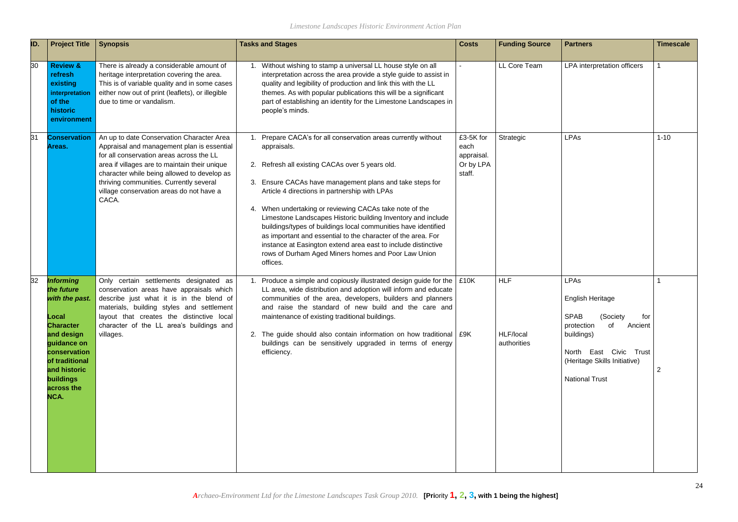| <b>Costs</b>                                           | <b>Funding Source</b>                  | <b>Partners</b>                                                                                                                                                                        | <b>Timescale</b>              |
|--------------------------------------------------------|----------------------------------------|----------------------------------------------------------------------------------------------------------------------------------------------------------------------------------------|-------------------------------|
| $\overline{\phantom{0}}$                               | LL Core Team                           | LPA interpretation officers                                                                                                                                                            | $\mathbf{1}$                  |
| £3-5K for<br>each<br>appraisal.<br>Or by LPA<br>staff. | Strategic                              | LPAs                                                                                                                                                                                   | $1 - 10$                      |
| £10K<br>£9K                                            | <b>HLF</b><br>HLF/local<br>authorities | LPAs<br>English Heritage<br>SPAB (Society<br>for<br>of<br>Ancient<br>protection<br>buildings)<br>North<br>East Civic<br>Trust<br>(Heritage Skills Initiative)<br><b>National Trust</b> | $\mathbf 1$<br>$\overline{2}$ |

| ID. | <b>Project Title</b>                                                                                                                                                                            | <b>Synopsis</b>                                                                                                                                                                                                                                                                                                                     | <b>Tasks and Stages</b>                                                                                                                                                                                                                                                                                                                                                                                                                                                                                                                                                                                                                        | <b>Costs</b>                                           | <b>Funding Source</b>                  | <b>Partners</b>                                                                                                                                                                                          | <b>Timescale</b> |
|-----|-------------------------------------------------------------------------------------------------------------------------------------------------------------------------------------------------|-------------------------------------------------------------------------------------------------------------------------------------------------------------------------------------------------------------------------------------------------------------------------------------------------------------------------------------|------------------------------------------------------------------------------------------------------------------------------------------------------------------------------------------------------------------------------------------------------------------------------------------------------------------------------------------------------------------------------------------------------------------------------------------------------------------------------------------------------------------------------------------------------------------------------------------------------------------------------------------------|--------------------------------------------------------|----------------------------------------|----------------------------------------------------------------------------------------------------------------------------------------------------------------------------------------------------------|------------------|
| 30  | <b>Review &amp;</b><br>refresh<br>existing<br>interpretation<br>of the<br>historic<br>environment                                                                                               | There is already a considerable amount of<br>heritage interpretation covering the area.<br>This is of variable quality and in some cases<br>either now out of print (leaflets), or illegible<br>due to time or vandalism.                                                                                                           | Without wishing to stamp a universal LL house style on all<br>interpretation across the area provide a style guide to assist in<br>quality and legibility of production and link this with the LL<br>themes. As with popular publications this will be a significant<br>part of establishing an identity for the Limestone Landscapes in<br>people's minds.                                                                                                                                                                                                                                                                                    |                                                        | LL Core Team                           | LPA interpretation officers                                                                                                                                                                              |                  |
| 31  | <b>Conservation</b><br>Areas.                                                                                                                                                                   | An up to date Conservation Character Area<br>Appraisal and management plan is essential<br>for all conservation areas across the LL<br>area if villages are to maintain their unique<br>character while being allowed to develop as<br>thriving communities. Currently several<br>village conservation areas do not have a<br>CACA. | 1. Prepare CACA's for all conservation areas currently without<br>appraisals.<br>2. Refresh all existing CACAs over 5 years old.<br>3. Ensure CACAs have management plans and take steps for<br>Article 4 directions in partnership with LPAs<br>4. When undertaking or reviewing CACAs take note of the<br>Limestone Landscapes Historic building Inventory and include<br>buildings/types of buildings local communities have identified<br>as important and essential to the character of the area. For<br>instance at Easington extend area east to include distinctive<br>rows of Durham Aged Miners homes and Poor Law Union<br>offices. | £3-5K for<br>each<br>appraisal.<br>Or by LPA<br>staff. | Strategic                              | <b>LPAs</b>                                                                                                                                                                                              | $1 - 10$         |
| 32  | <b>Informing</b><br>the future<br>with the past.<br>Local<br><b>Character</b><br>and design<br>quidance on<br>conservation<br>of traditional<br>and historic<br>buildings<br>across the<br>NCA. | Only certain settlements designated as<br>conservation areas have appraisals which<br>describe just what it is in the blend of<br>materials, building styles and settlement<br>layout that creates the distinctive local<br>character of the LL area's buildings and<br>villages.                                                   | Produce a simple and copiously illustrated design guide for the<br>LL area, wide distribution and adoption will inform and educate<br>communities of the area, developers, builders and planners<br>and raise the standard of new build and the care and<br>maintenance of existing traditional buildings.<br>2. The guide should also contain information on how traditional   £9K<br>buildings can be sensitively upgraded in terms of energy<br>efficiency.                                                                                                                                                                                 | £10K                                                   | <b>HLF</b><br>HLF/local<br>authorities | <b>LPAs</b><br><b>English Heritage</b><br><b>SPAB</b><br>(Society<br>tor<br>of<br>protection<br>Ancient<br>buildings)<br>North East Civic Trust<br>(Heritage Skills Initiative)<br><b>National Trust</b> |                  |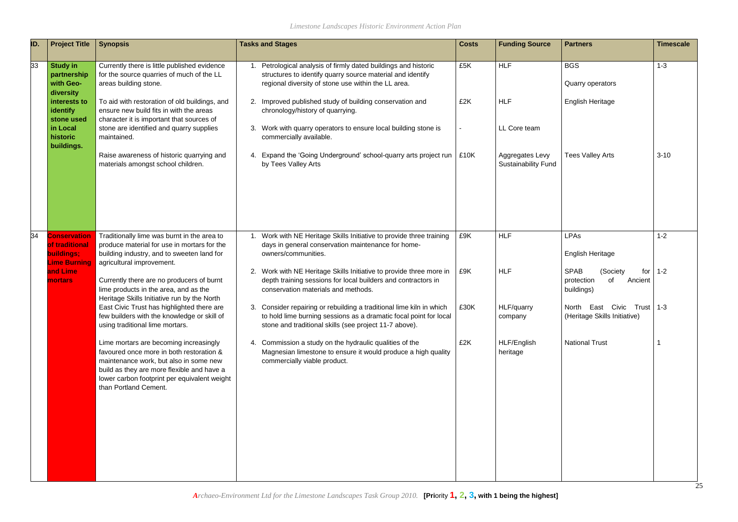| ID. | <b>Project Title</b>                                                                 | <b>Synopsis</b>                                                                                                                                                                                                                                     | <b>Tasks and Stages</b>                                                                                                                                                                                                                                                              | <b>Costs</b> | <b>Funding Source</b>           | <b>Partners</b>                                                             | <b>Timescale</b> |
|-----|--------------------------------------------------------------------------------------|-----------------------------------------------------------------------------------------------------------------------------------------------------------------------------------------------------------------------------------------------------|--------------------------------------------------------------------------------------------------------------------------------------------------------------------------------------------------------------------------------------------------------------------------------------|--------------|---------------------------------|-----------------------------------------------------------------------------|------------------|
| 33  | <b>Study in</b><br>partnership<br>with Geo-<br>diversity<br>interests to<br>identify | Currently there is little published evidence<br>for the source quarries of much of the LL<br>areas building stone.<br>To aid with restoration of old buildings, and<br>ensure new build fits in with the areas                                      | Petrological analysis of firmly dated buildings and historic<br>structures to identify quarry source material and identify<br>regional diversity of stone use within the LL area.<br>Improved published study of building conservation and<br>2.<br>chronology/history of quarrying. | £5K<br>£2K   | <b>HLF</b><br><b>HLF</b>        | <b>BGS</b><br>Quarry operators<br><b>English Heritage</b>                   | $1 - 3$          |
|     | stone used<br>in Local<br>historic<br>buildings.                                     | character it is important that sources of<br>stone are identified and quarry supplies<br>maintained.<br>Raise awareness of historic quarrying and                                                                                                   | Work with quarry operators to ensure local building stone is<br>3.<br>commercially available.<br>4. Expand the 'Going Underground' school-quarry arts project run   £10K                                                                                                             |              | LL Core team<br>Aggregates Levy | <b>Tees Valley Arts</b>                                                     | $3 - 10$         |
|     |                                                                                      | materials amongst school children.                                                                                                                                                                                                                  | by Tees Valley Arts                                                                                                                                                                                                                                                                  |              | <b>Sustainability Fund</b>      |                                                                             |                  |
| 34  | <b>Conservation</b><br>of traditional<br>buildings;<br><b>Lime Burning</b>           | Traditionally lime was burnt in the area to<br>produce material for use in mortars for the<br>building industry, and to sweeten land for<br>agricultural improvement.                                                                               | Work with NE Heritage Skills Initiative to provide three training<br>1.<br>days in general conservation maintenance for home-<br>owners/communities.                                                                                                                                 | £9K          | <b>HLF</b>                      | <b>LPAs</b><br><b>English Heritage</b>                                      | $1 - 2$          |
|     | and Lime<br><b>mortars</b>                                                           | Currently there are no producers of burnt<br>lime products in the area, and as the<br>Heritage Skills Initiative run by the North                                                                                                                   | 2. Work with NE Heritage Skills Initiative to provide three more in<br>depth training sessions for local builders and contractors in<br>conservation materials and methods.                                                                                                          | £9K          | <b>HLF</b>                      | <b>SPAB</b><br>(Society<br>for<br>protection<br>of<br>Ancient<br>buildings) | $1 - 2$          |
|     |                                                                                      | East Civic Trust has highlighted there are<br>few builders with the knowledge or skill of<br>using traditional lime mortars.                                                                                                                        | 3. Consider repairing or rebuilding a traditional lime kiln in which<br>to hold lime burning sessions as a dramatic focal point for local<br>stone and traditional skills (see project 11-7 above).                                                                                  | £30K         | <b>HLF/quarry</b><br>company    | North East Civic Trust 1-3<br>(Heritage Skills Initiative)                  |                  |
|     |                                                                                      | Lime mortars are becoming increasingly<br>favoured once more in both restoration &<br>maintenance work, but also in some new<br>build as they are more flexible and have a<br>lower carbon footprint per equivalent weight<br>than Portland Cement. | 4. Commission a study on the hydraulic qualities of the<br>Magnesian limestone to ensure it would produce a high quality<br>commercially viable product.                                                                                                                             | £2K          | HLF/English<br>heritage         | <b>National Trust</b>                                                       |                  |
|     |                                                                                      |                                                                                                                                                                                                                                                     |                                                                                                                                                                                                                                                                                      |              |                                 |                                                                             | 25               |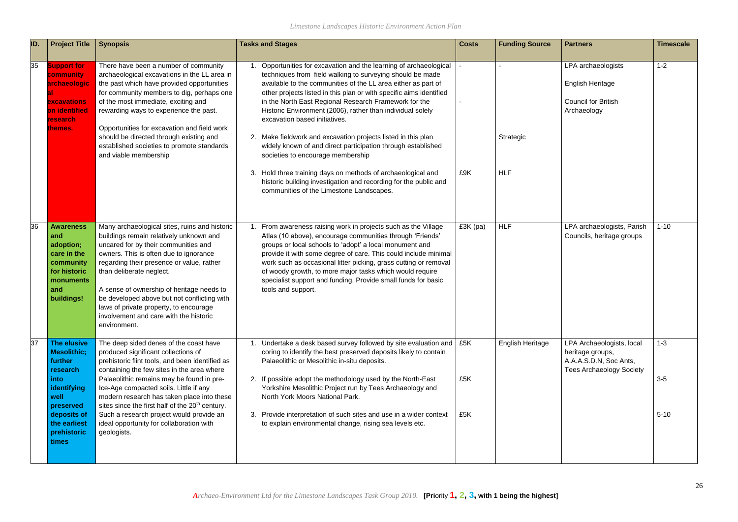| ID. | <b>Project Title</b>                                                                                                                                               | <b>Synopsis</b>                                                                                                                                                                                                                                                                                                                                                                                                                                                                           | <b>Tasks and Stages</b>                                                                                                                                                                                                                                                                                                                                                                                                                                                                                                                                                                            | <b>Costs</b> | <b>Funding Source</b> | <b>Partners</b>                                                                                            | <b>Timescale</b>             |
|-----|--------------------------------------------------------------------------------------------------------------------------------------------------------------------|-------------------------------------------------------------------------------------------------------------------------------------------------------------------------------------------------------------------------------------------------------------------------------------------------------------------------------------------------------------------------------------------------------------------------------------------------------------------------------------------|----------------------------------------------------------------------------------------------------------------------------------------------------------------------------------------------------------------------------------------------------------------------------------------------------------------------------------------------------------------------------------------------------------------------------------------------------------------------------------------------------------------------------------------------------------------------------------------------------|--------------|-----------------------|------------------------------------------------------------------------------------------------------------|------------------------------|
| 35  | <b>Support for</b><br>community<br><b>archaeologic</b><br>excavations<br><b>on identified</b><br>research<br>themes.                                               | There have been a number of community<br>archaeological excavations in the LL area in<br>the past which have provided opportunities<br>for community members to dig, perhaps one<br>of the most immediate, exciting and<br>rewarding ways to experience the past.<br>Opportunities for excavation and field work<br>should be directed through existing and<br>established societies to promote standards<br>and viable membership                                                        | Opportunities for excavation and the learning of archaeological<br>techniques from field walking to surveying should be made<br>available to the communities of the LL area either as part of<br>other projects listed in this plan or with specific aims identified<br>in the North East Regional Research Framework for the<br>Historic Environment (2006), rather than individual solely<br>excavation based initiatives.<br>2. Make fieldwork and excavation projects listed in this plan<br>widely known of and direct participation through established<br>societies to encourage membership |              | Strategic             | LPA archaeologists<br>English Heritage<br><b>Council for British</b><br>Archaeology                        | $1 - 2$                      |
|     |                                                                                                                                                                    |                                                                                                                                                                                                                                                                                                                                                                                                                                                                                           | 3. Hold three training days on methods of archaeological and<br>historic building investigation and recording for the public and<br>communities of the Limestone Landscapes.                                                                                                                                                                                                                                                                                                                                                                                                                       | £9K          | <b>HLF</b>            |                                                                                                            |                              |
| 36  | <b>Awareness</b><br>and<br>adoption;<br>care in the<br>community<br>for historic<br>monuments<br>and<br>buildings!                                                 | Many archaeological sites, ruins and historic<br>buildings remain relatively unknown and<br>uncared for by their communities and<br>owners. This is often due to ignorance<br>regarding their presence or value, rather<br>than deliberate neglect.<br>A sense of ownership of heritage needs to<br>be developed above but not conflicting with<br>laws of private property, to encourage<br>involvement and care with the historic<br>environment.                                       | From awareness raising work in projects such as the Village<br>Atlas (10 above), encourage communities through 'Friends'<br>groups or local schools to 'adopt' a local monument and<br>provide it with some degree of care. This could include minimal<br>work such as occasional litter picking, grass cutting or removal<br>of woody growth, to more major tasks which would require<br>specialist support and funding. Provide small funds for basic<br>tools and support.                                                                                                                      | £3K (pa)     | <b>HLF</b>            | LPA archaeologists, Parish<br>Councils, heritage groups                                                    | $1 - 10$                     |
| 37  | The elusive<br><b>Mesolithic;</b><br>further<br>research<br><i>into</i><br>identifying<br>well<br>preserved<br>deposits of<br>the earliest<br>prehistoric<br>times | The deep sided denes of the coast have<br>produced significant collections of<br>prehistoric flint tools, and been identified as<br>containing the few sites in the area where<br>Palaeolithic remains may be found in pre-<br>Ice-Age compacted soils. Little if any<br>modern research has taken place into these<br>sites since the first half of the 20 <sup>th</sup> century.<br>Such a research project would provide an<br>ideal opportunity for collaboration with<br>geologists. | Undertake a desk based survey followed by site evaluation and $\vert$ £5K<br>coring to identify the best preserved deposits likely to contain<br>Palaeolithic or Mesolithic in-situ deposits.<br>2. If possible adopt the methodology used by the North-East<br>Yorkshire Mesolithic Project run by Tees Archaeology and<br>North York Moors National Park.<br>3. Provide interpretation of such sites and use in a wider context<br>to explain environmental change, rising sea levels etc.                                                                                                       | £5K<br>£5K   | English Heritage      | LPA Archaeologists, local<br>heritage groups,<br>A.A.A.S.D.N, Soc Ants,<br><b>Tees Archaeology Society</b> | $1 - 3$<br>$3-5$<br>$5 - 10$ |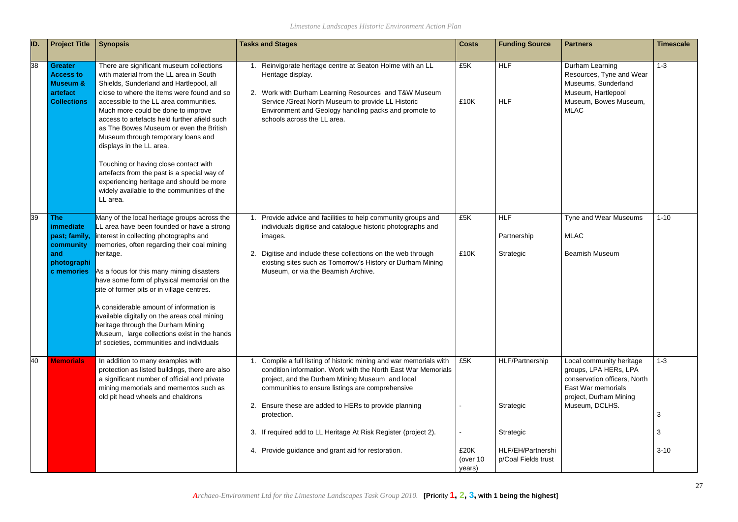| ID. | <b>Project Title</b>                                                                             | <b>Synopsis</b>                                                                                                                                                                                                                                                                                                                                                                                                                                                                                                                                                                                                         | <b>Tasks and Stages</b>                                                                                                                                                                                                                                                                                                                                                                                                                            | <b>Costs</b>                       | <b>Funding Source</b>                                                                 | <b>Partners</b>                                                                                                                                     | <b>Timescale</b>         |
|-----|--------------------------------------------------------------------------------------------------|-------------------------------------------------------------------------------------------------------------------------------------------------------------------------------------------------------------------------------------------------------------------------------------------------------------------------------------------------------------------------------------------------------------------------------------------------------------------------------------------------------------------------------------------------------------------------------------------------------------------------|----------------------------------------------------------------------------------------------------------------------------------------------------------------------------------------------------------------------------------------------------------------------------------------------------------------------------------------------------------------------------------------------------------------------------------------------------|------------------------------------|---------------------------------------------------------------------------------------|-----------------------------------------------------------------------------------------------------------------------------------------------------|--------------------------|
| 38  | <b>Greater</b><br><b>Access to</b><br><b>Museum &amp;</b><br>artefact<br><b>Collections</b>      | There are significant museum collections<br>with material from the LL area in South<br>Shields, Sunderland and Hartlepool, all<br>close to where the items were found and so<br>accessible to the LL area communities.<br>Much more could be done to improve<br>access to artefacts held further afield such<br>as The Bowes Museum or even the British<br>Museum through temporary loans and<br>displays in the LL area.<br>Touching or having close contact with<br>artefacts from the past is a special way of<br>experiencing heritage and should be more<br>widely available to the communities of the<br>LL area. | Reinvigorate heritage centre at Seaton Holme with an LL<br>Heritage display.<br>2. Work with Durham Learning Resources and T&W Museum<br>Service / Great North Museum to provide LL Historic<br>Environment and Geology handling packs and promote to<br>schools across the LL area.                                                                                                                                                               | £5K<br>£10K                        | <b>HLF</b><br><b>HLF</b>                                                              | Durham Learning<br>Resources, Tyne and Wear<br>Museums, Sunderland<br>Museum, Hartlepool<br>Museum, Bowes Museum,<br><b>MLAC</b>                    | $1 - 3$                  |
| 39  | <b>The</b><br><i>immediate</i><br>past; family,<br>community<br>and<br>photographi<br>c memories | Many of the local heritage groups across the<br>LL area have been founded or have a strong<br>interest in collecting photographs and<br>memories, often regarding their coal mining<br>heritage.<br>As a focus for this many mining disasters<br>have some form of physical memorial on the<br>site of former pits or in village centres.<br>A considerable amount of information is<br>available digitally on the areas coal mining<br>heritage through the Durham Mining<br>Museum, large collections exist in the hands<br>of societies, communities and individuals                                                 | Provide advice and facilities to help community groups and<br>individuals digitise and catalogue historic photographs and<br>images.<br>Digitise and include these collections on the web through<br>2.<br>existing sites such as Tomorrow's History or Durham Mining<br>Museum, or via the Beamish Archive.                                                                                                                                       | £5K<br>£10K                        | <b>HLF</b><br>Partnership<br>Strategic                                                | Tyne and Wear Museums<br><b>MLAC</b><br><b>Beamish Museum</b>                                                                                       | $1 - 10$                 |
| 40  | <b>Memorials</b>                                                                                 | In addition to many examples with<br>protection as listed buildings, there are also<br>a significant number of official and private<br>mining memorials and mementos such as<br>old pit head wheels and chaldrons                                                                                                                                                                                                                                                                                                                                                                                                       | Compile a full listing of historic mining and war memorials with<br>condition information. Work with the North East War Memorials<br>project, and the Durham Mining Museum and local<br>communities to ensure listings are comprehensive<br>Ensure these are added to HERs to provide planning<br>2.<br>protection.<br>If required add to LL Heritage At Risk Register (project 2).<br>3.<br>Provide guidance and grant aid for restoration.<br>4. | £5K<br>£20K<br>(over 10)<br>years) | HLF/Partnership<br>Strategic<br>Strategic<br>HLF/EH/Partnershi<br>p/Coal Fields trust | Local community heritage<br>groups, LPA HERs, LPA<br>conservation officers, North<br>East War memorials<br>project, Durham Mining<br>Museum, DCLHS. | $1 - 3$<br>3<br>$3 - 10$ |

|   | <b>Partners</b>                                                                                                                                     | <b>Timescale</b> |
|---|-----------------------------------------------------------------------------------------------------------------------------------------------------|------------------|
|   | Durham Learning<br>Resources, Tyne and Wear<br>Museums, Sunderland<br>Museum, Hartlepool<br>Museum, Bowes Museum,<br><b>MLAC</b>                    | $1 - 3$          |
|   | Tyne and Wear Museums                                                                                                                               | $1 - 10$         |
|   | <b>MLAC</b>                                                                                                                                         |                  |
|   | <b>Beamish Museum</b>                                                                                                                               |                  |
|   | Local community heritage<br>groups, LPA HERs, LPA<br>conservation officers, North<br>East War memorials<br>project, Durham Mining<br>Museum, DCLHS. | $1 - 3$          |
|   |                                                                                                                                                     | 3                |
|   |                                                                                                                                                     | 3                |
| i |                                                                                                                                                     | $3 - 10$         |
|   |                                                                                                                                                     |                  |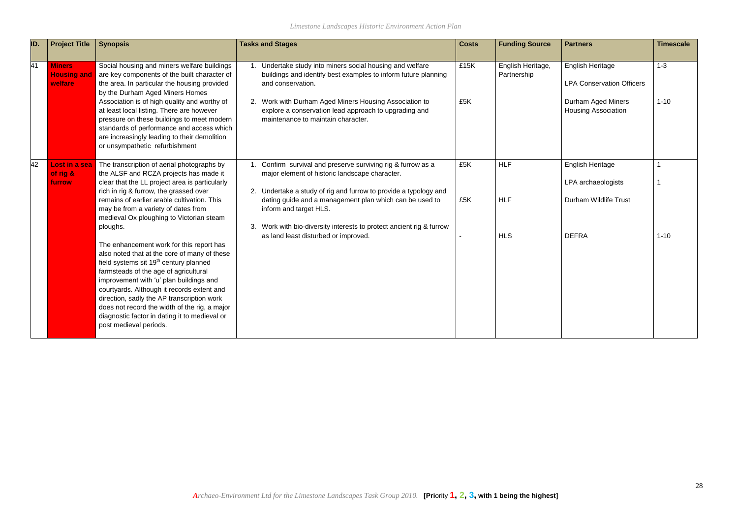| ID.             | <b>Project Title</b>                           | <b>Synopsis</b>                                                                                                                                                                                                                                                                                                                                                                                                                                            | <b>Tasks and Stages</b>                                                                                                                                                                                                                                          | <b>Costs</b> | <b>Funding Source</b>            | <b>Partners</b>                                                                                                 | <b>Timescale</b>    |
|-----------------|------------------------------------------------|------------------------------------------------------------------------------------------------------------------------------------------------------------------------------------------------------------------------------------------------------------------------------------------------------------------------------------------------------------------------------------------------------------------------------------------------------------|------------------------------------------------------------------------------------------------------------------------------------------------------------------------------------------------------------------------------------------------------------------|--------------|----------------------------------|-----------------------------------------------------------------------------------------------------------------|---------------------|
| $\overline{41}$ | <b>Miners</b><br><b>Housing and</b><br>welfare | Social housing and miners welfare buildings<br>are key components of the built character of<br>the area. In particular the housing provided<br>by the Durham Aged Miners Homes<br>Association is of high quality and worthy of<br>at least local listing. There are however                                                                                                                                                                                | Undertake study into miners social housing and welfare<br>buildings and identify best examples to inform future planning<br>and conservation.<br>2. Work with Durham Aged Miners Housing Association to<br>explore a conservation lead approach to upgrading and | £15K<br>£5K  | English Heritage,<br>Partnership | <b>English Heritage</b><br><b>LPA Conservation Officers</b><br>Durham Aged Miners<br><b>Housing Association</b> | $1 - 3$<br>$1 - 10$ |
|                 |                                                | pressure on these buildings to meet modern<br>standards of performance and access which<br>are increasingly leading to their demolition<br>or unsympathetic refurbishment                                                                                                                                                                                                                                                                                  | maintenance to maintain character.                                                                                                                                                                                                                               |              |                                  |                                                                                                                 |                     |
| 42              | <b>Lost in a sea</b><br>of rig &               | The transcription of aerial photographs by<br>the ALSF and RCZA projects has made it                                                                                                                                                                                                                                                                                                                                                                       | 1. Confirm survival and preserve surviving rig & furrow as a<br>major element of historic landscape character.                                                                                                                                                   | £5K          | <b>HLF</b>                       | <b>English Heritage</b>                                                                                         |                     |
|                 | furrow                                         | clear that the LL project area is particularly<br>rich in rig & furrow, the grassed over                                                                                                                                                                                                                                                                                                                                                                   | 2. Undertake a study of rig and furrow to provide a typology and                                                                                                                                                                                                 |              |                                  | LPA archaeologists                                                                                              |                     |
|                 |                                                | remains of earlier arable cultivation. This<br>may be from a variety of dates from<br>medieval Ox ploughing to Victorian steam                                                                                                                                                                                                                                                                                                                             | dating guide and a management plan which can be used to<br>inform and target HLS.                                                                                                                                                                                | £5K          | <b>HLF</b>                       | <b>Durham Wildlife Trust</b>                                                                                    |                     |
|                 |                                                | ploughs.                                                                                                                                                                                                                                                                                                                                                                                                                                                   | 3. Work with bio-diversity interests to protect ancient rig & furrow<br>as land least disturbed or improved.                                                                                                                                                     |              | <b>HLS</b>                       | <b>DEFRA</b>                                                                                                    | $1 - 10$            |
|                 |                                                | The enhancement work for this report has<br>also noted that at the core of many of these<br>field systems sit 19 <sup>th</sup> century planned<br>farmsteads of the age of agricultural<br>improvement with 'u' plan buildings and<br>courtyards. Although it records extent and<br>direction, sadly the AP transcription work<br>does not record the width of the rig, a major<br>diagnostic factor in dating it to medieval or<br>post medieval periods. |                                                                                                                                                                                                                                                                  |              |                                  |                                                                                                                 |                     |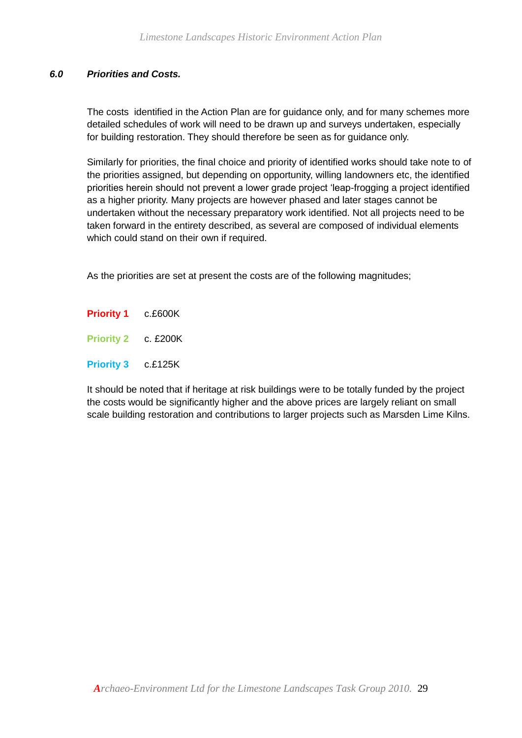#### *6.0 Priorities and Costs.*

The costs identified in the Action Plan are for guidance only, and for many schemes more detailed schedules of work will need to be drawn up and surveys undertaken, especially for building restoration. They should therefore be seen as for guidance only.

Similarly for priorities, the final choice and priority of identified works should take note to of the priorities assigned, but depending on opportunity, willing landowners etc, the identified priorities herein should not prevent a lower grade project 'leap-frogging a project identified as a higher priority. Many projects are however phased and later stages cannot be undertaken without the necessary preparatory work identified. Not all projects need to be taken forward in the entirety described, as several are composed of individual elements which could stand on their own if required.

As the priorities are set at present the costs are of the following magnitudes;

- **Priority 1** c.£600K
- **Priority 2** c. £200K
- **Priority 3** c.£125K

It should be noted that if heritage at risk buildings were to be totally funded by the project the costs would be significantly higher and the above prices are largely reliant on small scale building restoration and contributions to larger projects such as Marsden Lime Kilns.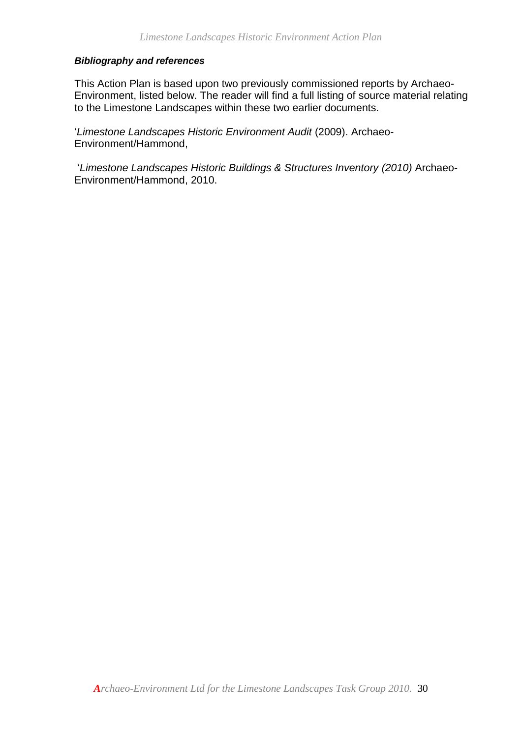#### *Bibliography and references*

This Action Plan is based upon two previously commissioned reports by Archaeo-Environment, listed below. The reader will find a full listing of source material relating to the Limestone Landscapes within these two earlier documents.

'*Limestone Landscapes Historic Environment Audit* (2009). Archaeo-Environment/Hammond,

'*Limestone Landscapes Historic Buildings & Structures Inventory (2010)* Archaeo-Environment/Hammond, 2010.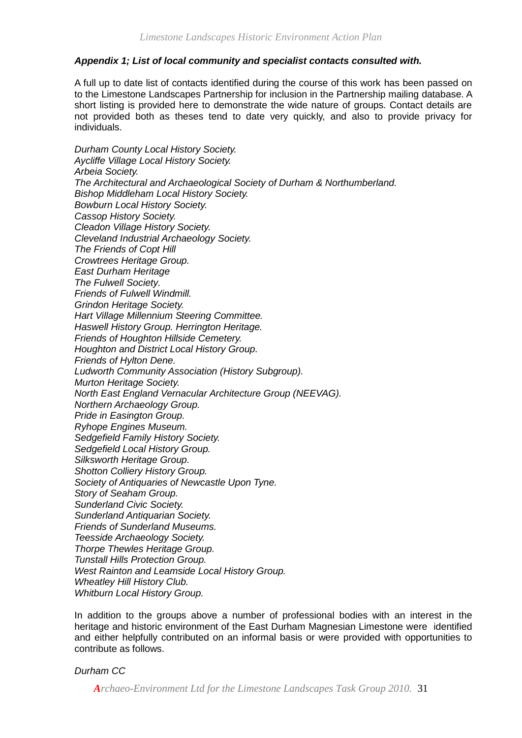#### *Appendix 1; List of local community and specialist contacts consulted with.*

A full up to date list of contacts identified during the course of this work has been passed on to the Limestone Landscapes Partnership for inclusion in the Partnership mailing database. A short listing is provided here to demonstrate the wide nature of groups. Contact details are not provided both as theses tend to date very quickly, and also to provide privacy for individuals.

*Durham County Local History Society. Aycliffe Village Local History Society. Arbeia Society. The Architectural and Archaeological Society of Durham & Northumberland. Bishop Middleham Local History Society. Bowburn Local History Society. Cassop History Society. Cleadon Village History Society. Cleveland Industrial Archaeology Society. The Friends of Copt Hill Crowtrees Heritage Group. East Durham Heritage The Fulwell Society. Friends of Fulwell Windmill. Grindon Heritage Society. Hart Village Millennium Steering Committee. Haswell History Group. Herrington Heritage. Friends of Houghton Hillside Cemetery. Houghton and District Local History Group. Friends of Hylton Dene. Ludworth Community Association (History Subgroup). Murton Heritage Society. North East England Vernacular Architecture Group (NEEVAG). Northern Archaeology Group. Pride in Easington Group. Ryhope Engines Museum. Sedgefield Family History Society. Sedgefield Local History Group. Silksworth Heritage Group. Shotton Colliery History Group. Society of Antiquaries of Newcastle Upon Tyne. Story of Seaham Group. Sunderland Civic Society. Sunderland Antiquarian Society. Friends of Sunderland Museums. Teesside Archaeology Society. Thorpe Thewles Heritage Group. Tunstall Hills Protection Group. West Rainton and Leamside Local History Group. Wheatley Hill History Club. Whitburn Local History Group.* 

In addition to the groups above a number of professional bodies with an interest in the heritage and historic environment of the East Durham Magnesian Limestone were identified and either helpfully contributed on an informal basis or were provided with opportunities to contribute as follows.

#### *Durham CC*

*Archaeo-Environment Ltd for the Limestone Landscapes Task Group 2010.* 31